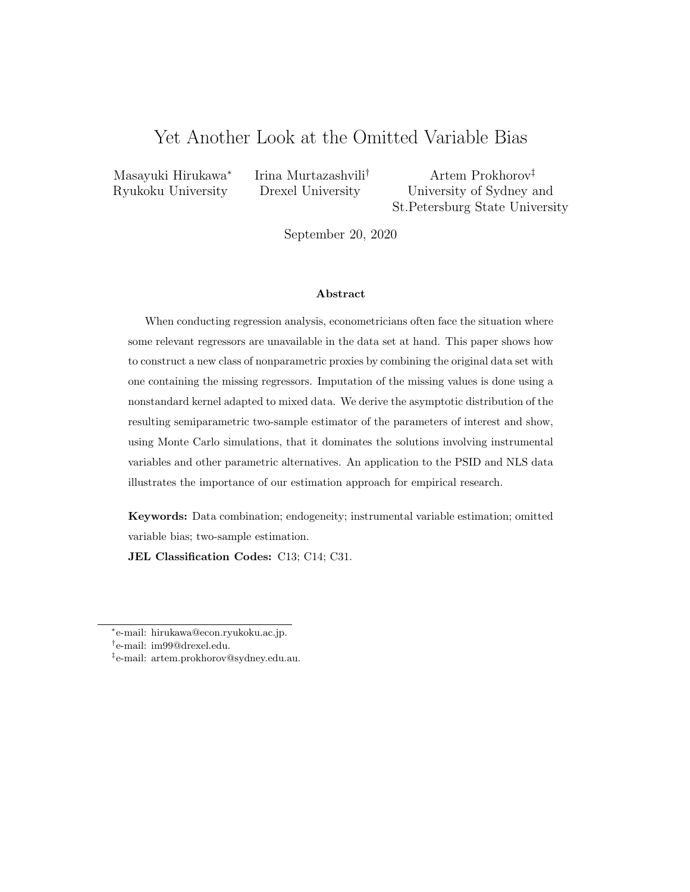# Yet Another Look at the Omitted Variable Bias

Masayuki Hirukawa<sup>∗</sup>

Irina Murtazashvili† Artem Prokhorov‡

Ryukoku University Drexel University University of Sydney and St.Petersburg State University

September 20, 2020

#### Abstract

When conducting regression analysis, econometricians often face the situation where some relevant regressors are unavailable in the data set at hand. This paper shows how to construct a new class of nonparametric proxies by combining the original data set with one containing the missing regressors. Imputation of the missing values is done using a nonstandard kernel adapted to mixed data. We derive the asymptotic distribution of the resulting semiparametric two-sample estimator of the parameters of interest and show, using Monte Carlo simulations, that it dominates the solutions involving instrumental variables and other parametric alternatives. An application to the PSID and NLS data illustrates the importance of our estimation approach for empirical research.

Keywords: Data combination; endogeneity; instrumental variable estimation; omitted variable bias; two-sample estimation.

JEL Classification Codes: C13; C14; C31.

<sup>∗</sup> e-mail: hirukawa@econ.ryukoku.ac.jp.

<sup>†</sup> e-mail: im99@drexel.edu.

<sup>‡</sup> e-mail: artem.prokhorov@sydney.edu.au.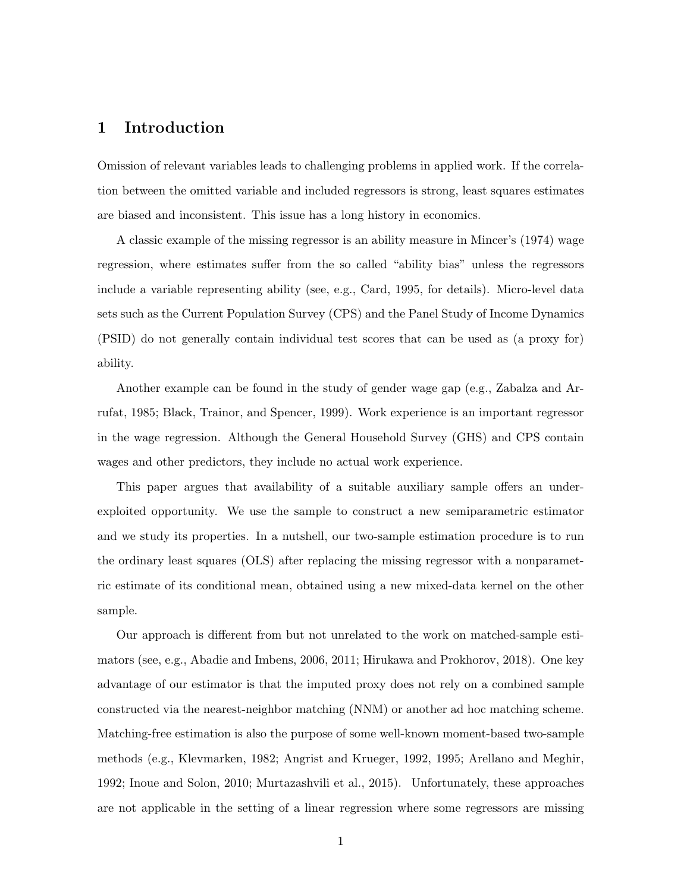### 1 Introduction

Omission of relevant variables leads to challenging problems in applied work. If the correlation between the omitted variable and included regressors is strong, least squares estimates are biased and inconsistent. This issue has a long history in economics.

A classic example of the missing regressor is an ability measure in Mincer's (1974) wage regression, where estimates suffer from the so called "ability bias" unless the regressors include a variable representing ability (see, e.g., Card, 1995, for details). Micro-level data sets such as the Current Population Survey (CPS) and the Panel Study of Income Dynamics (PSID) do not generally contain individual test scores that can be used as (a proxy for) ability.

Another example can be found in the study of gender wage gap (e.g., Zabalza and Arrufat, 1985; Black, Trainor, and Spencer, 1999). Work experience is an important regressor in the wage regression. Although the General Household Survey (GHS) and CPS contain wages and other predictors, they include no actual work experience.

This paper argues that availability of a suitable auxiliary sample offers an underexploited opportunity. We use the sample to construct a new semiparametric estimator and we study its properties. In a nutshell, our two-sample estimation procedure is to run the ordinary least squares (OLS) after replacing the missing regressor with a nonparametric estimate of its conditional mean, obtained using a new mixed-data kernel on the other sample.

Our approach is different from but not unrelated to the work on matched-sample estimators (see, e.g., Abadie and Imbens, 2006, 2011; Hirukawa and Prokhorov, 2018). One key advantage of our estimator is that the imputed proxy does not rely on a combined sample constructed via the nearest-neighbor matching (NNM) or another ad hoc matching scheme. Matching-free estimation is also the purpose of some well-known moment-based two-sample methods (e.g., Klevmarken, 1982; Angrist and Krueger, 1992, 1995; Arellano and Meghir, 1992; Inoue and Solon, 2010; Murtazashvili et al., 2015). Unfortunately, these approaches are not applicable in the setting of a linear regression where some regressors are missing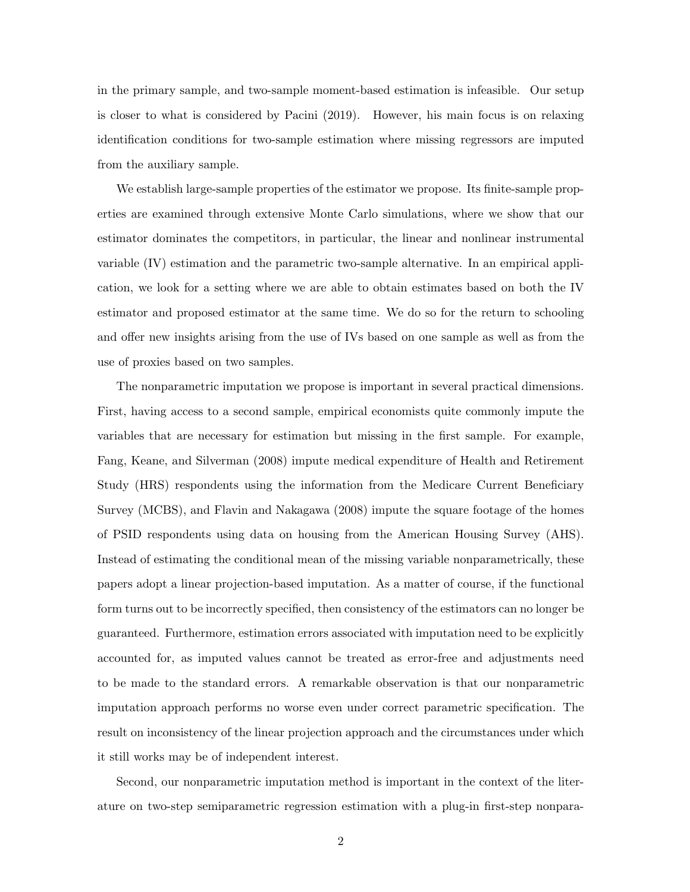in the primary sample, and two-sample moment-based estimation is infeasible. Our setup is closer to what is considered by Pacini (2019). However, his main focus is on relaxing identification conditions for two-sample estimation where missing regressors are imputed from the auxiliary sample.

We establish large-sample properties of the estimator we propose. Its finite-sample properties are examined through extensive Monte Carlo simulations, where we show that our estimator dominates the competitors, in particular, the linear and nonlinear instrumental variable (IV) estimation and the parametric two-sample alternative. In an empirical application, we look for a setting where we are able to obtain estimates based on both the IV estimator and proposed estimator at the same time. We do so for the return to schooling and offer new insights arising from the use of IVs based on one sample as well as from the use of proxies based on two samples.

The nonparametric imputation we propose is important in several practical dimensions. First, having access to a second sample, empirical economists quite commonly impute the variables that are necessary for estimation but missing in the first sample. For example, Fang, Keane, and Silverman (2008) impute medical expenditure of Health and Retirement Study (HRS) respondents using the information from the Medicare Current Beneficiary Survey (MCBS), and Flavin and Nakagawa (2008) impute the square footage of the homes of PSID respondents using data on housing from the American Housing Survey (AHS). Instead of estimating the conditional mean of the missing variable nonparametrically, these papers adopt a linear projection-based imputation. As a matter of course, if the functional form turns out to be incorrectly specified, then consistency of the estimators can no longer be guaranteed. Furthermore, estimation errors associated with imputation need to be explicitly accounted for, as imputed values cannot be treated as error-free and adjustments need to be made to the standard errors. A remarkable observation is that our nonparametric imputation approach performs no worse even under correct parametric specification. The result on inconsistency of the linear projection approach and the circumstances under which it still works may be of independent interest.

Second, our nonparametric imputation method is important in the context of the literature on two-step semiparametric regression estimation with a plug-in first-step nonpara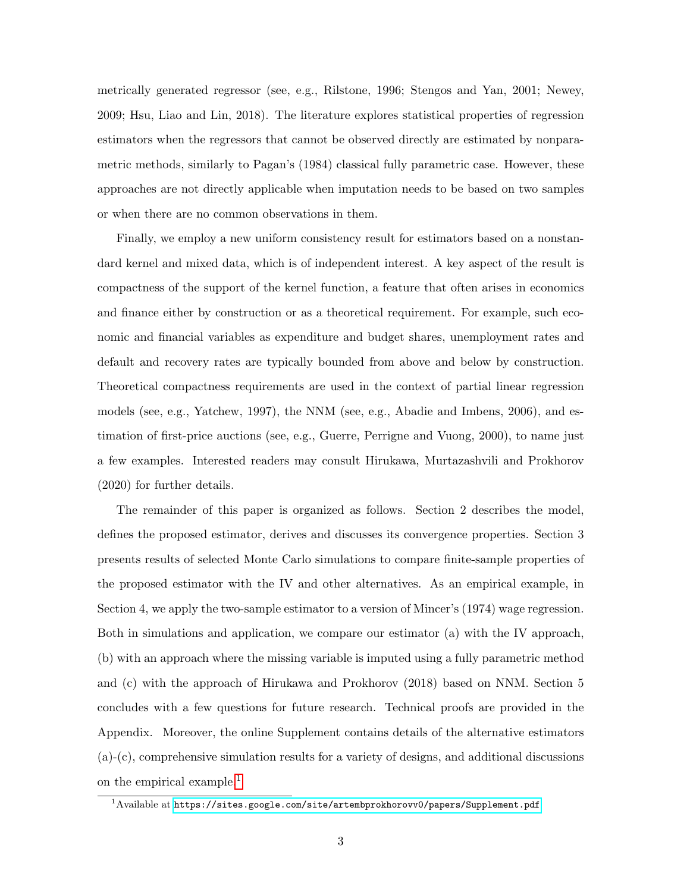metrically generated regressor (see, e.g., Rilstone, 1996; Stengos and Yan, 2001; Newey, 2009; Hsu, Liao and Lin, 2018). The literature explores statistical properties of regression estimators when the regressors that cannot be observed directly are estimated by nonparametric methods, similarly to Pagan's (1984) classical fully parametric case. However, these approaches are not directly applicable when imputation needs to be based on two samples or when there are no common observations in them.

Finally, we employ a new uniform consistency result for estimators based on a nonstandard kernel and mixed data, which is of independent interest. A key aspect of the result is compactness of the support of the kernel function, a feature that often arises in economics and finance either by construction or as a theoretical requirement. For example, such economic and financial variables as expenditure and budget shares, unemployment rates and default and recovery rates are typically bounded from above and below by construction. Theoretical compactness requirements are used in the context of partial linear regression models (see, e.g., Yatchew, 1997), the NNM (see, e.g., Abadie and Imbens, 2006), and estimation of first-price auctions (see, e.g., Guerre, Perrigne and Vuong, 2000), to name just a few examples. Interested readers may consult Hirukawa, Murtazashvili and Prokhorov (2020) for further details.

The remainder of this paper is organized as follows. Section 2 describes the model, defines the proposed estimator, derives and discusses its convergence properties. Section 3 presents results of selected Monte Carlo simulations to compare finite-sample properties of the proposed estimator with the IV and other alternatives. As an empirical example, in Section 4, we apply the two-sample estimator to a version of Mincer's (1974) wage regression. Both in simulations and application, we compare our estimator (a) with the IV approach, (b) with an approach where the missing variable is imputed using a fully parametric method and (c) with the approach of Hirukawa and Prokhorov (2018) based on NNM. Section 5 concludes with a few questions for future research. Technical proofs are provided in the Appendix. Moreover, the online Supplement contains details of the alternative estimators (a)-(c), comprehensive simulation results for a variety of designs, and additional discussions on the empirical example.<sup>[1](#page-3-0)</sup>

<span id="page-3-0"></span> $1^1$ Available at <https://sites.google.com/site/artembprokhorovv0/papers/Supplement.pdf>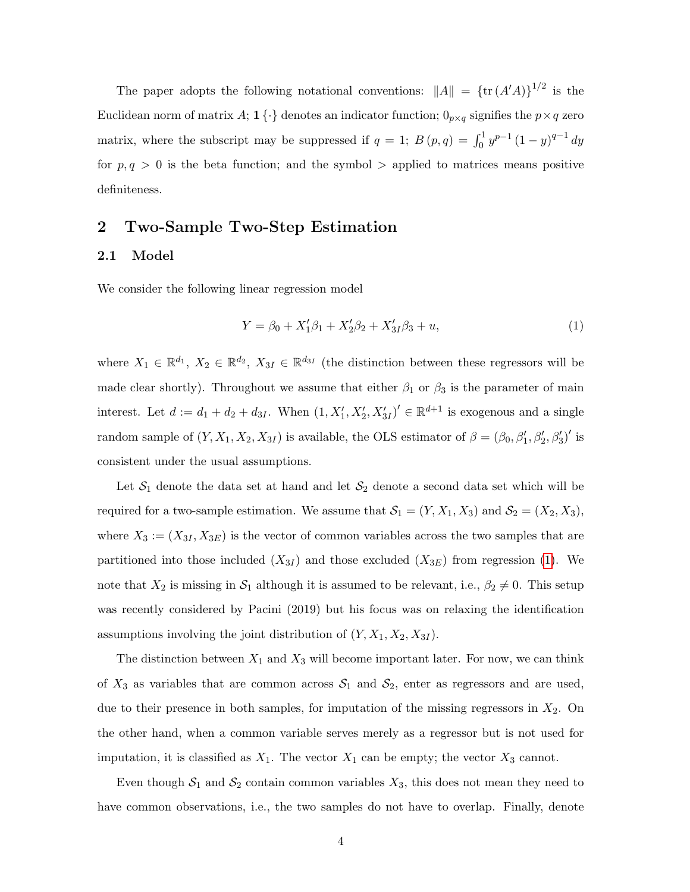The paper adopts the following notational conventions:  $||A|| = {tr (A'A)}^{1/2}$  is the Euclidean norm of matrix A; 1 $\{\cdot\}$  denotes an indicator function;  $0_{p \times q}$  signifies the  $p \times q$  zero matrix, where the subscript may be suppressed if  $q = 1$ ;  $B(p,q) = \int_0^1 y^{p-1} (1-y)^{q-1} dy$ for  $p, q > 0$  is the beta function; and the symbol  $>$  applied to matrices means positive definiteness.

### 2 Two-Sample Two-Step Estimation

#### 2.1 Model

We consider the following linear regression model

<span id="page-4-0"></span>
$$
Y = \beta_0 + X_1'\beta_1 + X_2'\beta_2 + X_{3I}'\beta_3 + u,\tag{1}
$$

where  $X_1 \in \mathbb{R}^{d_1}$ ,  $X_2 \in \mathbb{R}^{d_2}$ ,  $X_{3I} \in \mathbb{R}^{d_{3I}}$  (the distinction between these regressors will be made clear shortly). Throughout we assume that either  $\beta_1$  or  $\beta_3$  is the parameter of main interest. Let  $d := d_1 + d_2 + d_{3I}$ . When  $(1, X'_1, X'_2, X'_{3I})' \in \mathbb{R}^{d+1}$  is exogenous and a single random sample of  $(Y, X_1, X_2, X_{3I})$  is available, the OLS estimator of  $\beta = (\beta_0, \beta'_1, \beta'_2, \beta'_3)'$  is consistent under the usual assumptions.

Let  $S_1$  denote the data set at hand and let  $S_2$  denote a second data set which will be required for a two-sample estimation. We assume that  $S_1 = (Y, X_1, X_3)$  and  $S_2 = (X_2, X_3)$ , where  $X_3 := (X_{3I}, X_{3E})$  is the vector of common variables across the two samples that are partitioned into those included  $(X_{3I})$  and those excluded  $(X_{3E})$  from regression [\(1\)](#page-4-0). We note that  $X_2$  is missing in  $S_1$  although it is assumed to be relevant, i.e.,  $\beta_2 \neq 0$ . This setup was recently considered by Pacini (2019) but his focus was on relaxing the identification assumptions involving the joint distribution of  $(Y, X_1, X_2, X_{3I})$ .

The distinction between  $X_1$  and  $X_3$  will become important later. For now, we can think of  $X_3$  as variables that are common across  $S_1$  and  $S_2$ , enter as regressors and are used, due to their presence in both samples, for imputation of the missing regressors in  $X_2$ . On the other hand, when a common variable serves merely as a regressor but is not used for imputation, it is classified as  $X_1$ . The vector  $X_1$  can be empty; the vector  $X_3$  cannot.

Even though  $S_1$  and  $S_2$  contain common variables  $X_3$ , this does not mean they need to have common observations, i.e., the two samples do not have to overlap. Finally, denote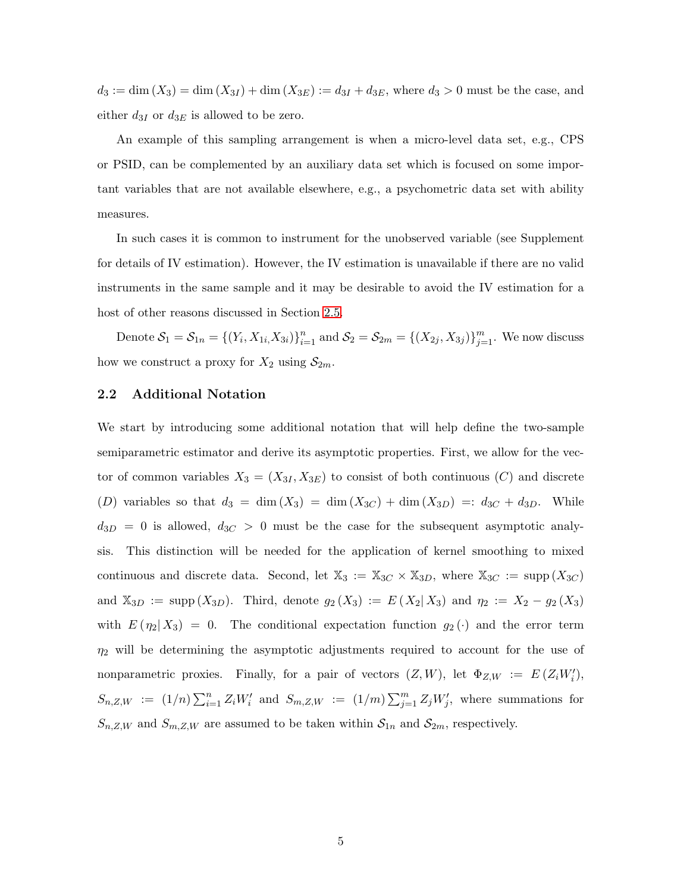$d_3 := \dim(X_3) = \dim(X_{3I}) + \dim(X_{3E}) := d_{3I} + d_{3E}$ , where  $d_3 > 0$  must be the case, and either  $d_{3I}$  or  $d_{3E}$  is allowed to be zero.

An example of this sampling arrangement is when a micro-level data set, e.g., CPS or PSID, can be complemented by an auxiliary data set which is focused on some important variables that are not available elsewhere, e.g., a psychometric data set with ability measures.

In such cases it is common to instrument for the unobserved variable (see Supplement for details of IV estimation). However, the IV estimation is unavailable if there are no valid instruments in the same sample and it may be desirable to avoid the IV estimation for a host of other reasons discussed in Section [2.5.](#page-13-0)

Denote  $S_1 = S_{1n} = \{(Y_i, X_{1i}, X_{3i})\}_{i=1}^n$  and  $S_2 = S_{2m} = \{(X_{2j}, X_{3j})\}_{j=1}^m$ . We now discuss how we construct a proxy for  $X_2$  using  $S_{2m}$ .

#### 2.2 Additional Notation

We start by introducing some additional notation that will help define the two-sample semiparametric estimator and derive its asymptotic properties. First, we allow for the vector of common variables  $X_3 = (X_{3I}, X_{3E})$  to consist of both continuous (C) and discrete (D) variables so that  $d_3 = \dim(X_3) = \dim(X_{3C}) + \dim(X_{3D}) =: d_{3C} + d_{3D}$ . While  $d_{3D} = 0$  is allowed,  $d_{3C} > 0$  must be the case for the subsequent asymptotic analysis. This distinction will be needed for the application of kernel smoothing to mixed continuous and discrete data. Second, let  $\mathbb{X}_3 := \mathbb{X}_{3C} \times \mathbb{X}_{3D}$ , where  $\mathbb{X}_{3C} := \text{supp}(X_{3C})$ and  $\mathbb{X}_{3D} := \text{supp}(X_{3D})$ . Third, denote  $g_2(X_3) := E(X_2 | X_3)$  and  $\eta_2 := X_2 - g_2(X_3)$ with  $E(\eta_2|X_3) = 0$ . The conditional expectation function  $g_2(\cdot)$  and the error term  $\eta_2$  will be determining the asymptotic adjustments required to account for the use of nonparametric proxies. Finally, for a pair of vectors  $(Z, W)$ , let  $\Phi_{Z, W} := E(Z_i W'_i)$ ,  $S_{n,Z,W} := (1/n) \sum_{i=1}^n Z_i W_i'$  and  $S_{m,Z,W} := (1/m) \sum_{j=1}^m Z_j W_j'$ , where summations for  $S_{n,Z,W}$  and  $S_{m,Z,W}$  are assumed to be taken within  $S_{1n}$  and  $S_{2m}$ , respectively.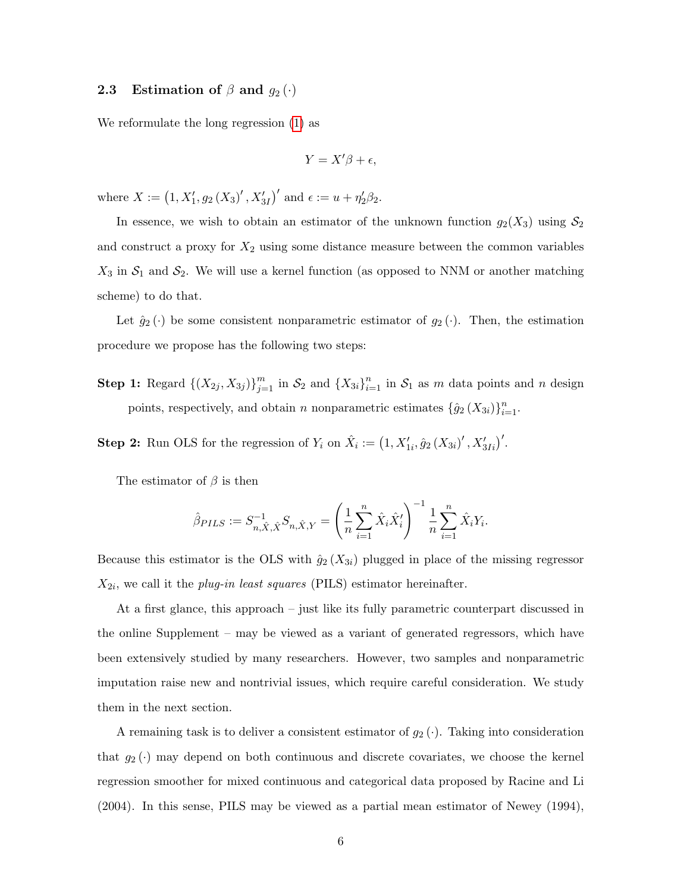### 2.3 Estimation of  $\beta$  and  $g_2(\cdot)$

We reformulate the long regression [\(1\)](#page-4-0) as

$$
Y = X'\beta + \epsilon,
$$

where  $X := (1, X'_1, g_2(X_3)', X'_{3I})'$  and  $\epsilon := u + \eta'_2 \beta_2$ .

In essence, we wish to obtain an estimator of the unknown function  $g_2(X_3)$  using  $S_2$ and construct a proxy for  $X_2$  using some distance measure between the common variables  $X_3$  in  $S_1$  and  $S_2$ . We will use a kernel function (as opposed to NNM or another matching scheme) to do that.

Let  $\hat{g}_2(\cdot)$  be some consistent nonparametric estimator of  $g_2(\cdot)$ . Then, the estimation procedure we propose has the following two steps:

**Step 1:** Regard  $\{(X_{2j}, X_{3j})\}_{j=1}^m$  in  $S_2$  and  $\{X_{3i}\}_{i=1}^n$  in  $S_1$  as m data points and n design points, respectively, and obtain n nonparametric estimates  $\{\hat{g}_2(X_{3i})\}_{i=1}^n$ .

**Step 2:** Run OLS for the regression of  $Y_i$  on  $\hat{X}_i := (1, X'_{1i}, \hat{g}_2(X_{3i})', X'_{3Ii})'$ .

The estimator of  $\beta$  is then

$$
\hat{\beta}_{PLS} := S_{n,\hat{X},\hat{X}}^{-1} S_{n,\hat{X},Y} = \left(\frac{1}{n} \sum_{i=1}^{n} \hat{X}_i \hat{X}_i'\right)^{-1} \frac{1}{n} \sum_{i=1}^{n} \hat{X}_i Y_i.
$$

Because this estimator is the OLS with  $\hat{g}_2(X_{3i})$  plugged in place of the missing regressor  $X_{2i}$ , we call it the *plug-in least squares* (PILS) estimator hereinafter.

At a first glance, this approach – just like its fully parametric counterpart discussed in the online Supplement – may be viewed as a variant of generated regressors, which have been extensively studied by many researchers. However, two samples and nonparametric imputation raise new and nontrivial issues, which require careful consideration. We study them in the next section.

A remaining task is to deliver a consistent estimator of  $g_2(\cdot)$ . Taking into consideration that  $g_2(\cdot)$  may depend on both continuous and discrete covariates, we choose the kernel regression smoother for mixed continuous and categorical data proposed by Racine and Li (2004). In this sense, PILS may be viewed as a partial mean estimator of Newey (1994),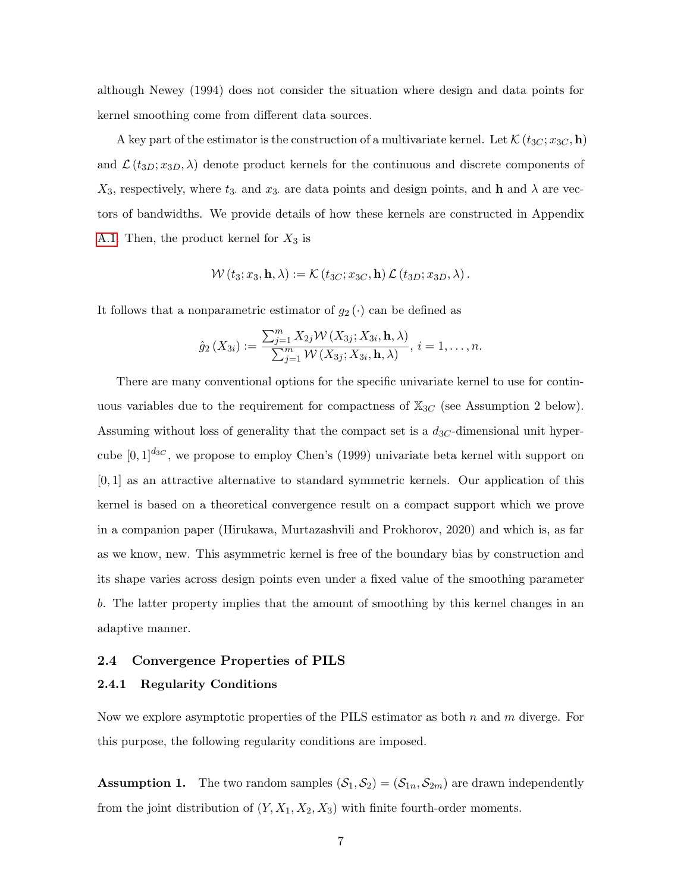although Newey (1994) does not consider the situation where design and data points for kernel smoothing come from different data sources.

A key part of the estimator is the construction of a multivariate kernel. Let  $\mathcal{K}(t_{3C}; x_{3C}, \mathbf{h})$ and  $\mathcal{L}(t_{3D}; x_{3D}, \lambda)$  denote product kernels for the continuous and discrete components of  $X_3$ , respectively, where  $t_3$  and  $x_3$  are data points and design points, and h and  $\lambda$  are vectors of bandwidths. We provide details of how these kernels are constructed in Appendix [A.1.](#page-28-0) Then, the product kernel for  $X_3$  is

$$
\mathcal{W}(t_3; x_3, \mathbf{h}, \lambda) := \mathcal{K}(t_{3C}; x_{3C}, \mathbf{h}) \mathcal{L}(t_{3D}; x_{3D}, \lambda).
$$

It follows that a nonparametric estimator of  $g_2(\cdot)$  can be defined as

$$
\hat{g}_2\left(X_{3i}\right) := \frac{\sum_{j=1}^m X_{2j} \mathcal{W}\left(X_{3j}; X_{3i}, \mathbf{h}, \lambda\right)}{\sum_{j=1}^m \mathcal{W}\left(X_{3j}; X_{3i}, \mathbf{h}, \lambda\right)}, i = 1, \dots, n.
$$

There are many conventional options for the specific univariate kernel to use for continuous variables due to the requirement for compactness of  $\mathbb{X}_{3C}$  (see Assumption 2 below). Assuming without loss of generality that the compact set is a  $d_{3C}$ -dimensional unit hypercube  $[0, 1]^{d_{3C}}$ , we propose to employ Chen's (1999) univariate beta kernel with support on  $[0, 1]$  as an attractive alternative to standard symmetric kernels. Our application of this kernel is based on a theoretical convergence result on a compact support which we prove in a companion paper (Hirukawa, Murtazashvili and Prokhorov, 2020) and which is, as far as we know, new. This asymmetric kernel is free of the boundary bias by construction and its shape varies across design points even under a fixed value of the smoothing parameter b. The latter property implies that the amount of smoothing by this kernel changes in an adaptive manner.

#### 2.4 Convergence Properties of PILS

#### 2.4.1 Regularity Conditions

Now we explore asymptotic properties of the PILS estimator as both  $n$  and  $m$  diverge. For this purpose, the following regularity conditions are imposed.

**Assumption 1.** The two random samples  $(S_1, S_2) = (S_{1n}, S_{2m})$  are drawn independently from the joint distribution of  $(Y, X_1, X_2, X_3)$  with finite fourth-order moments.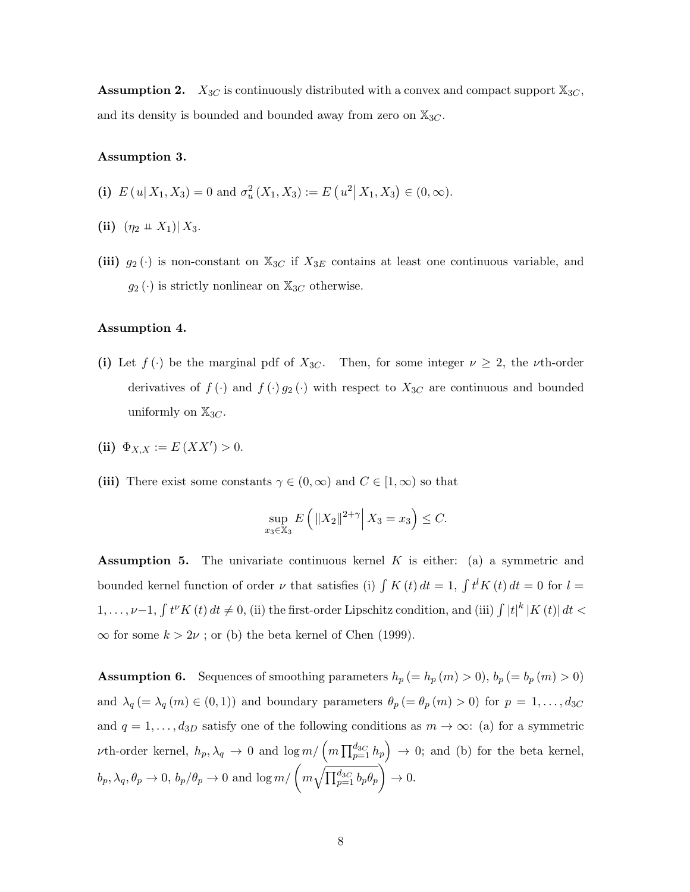**Assumption 2.**  $X_{3C}$  is continuously distributed with a convex and compact support  $\mathbb{X}_{3C}$ , and its density is bounded and bounded away from zero on  $\mathbb{X}_{3C}$ .

#### Assumption 3.

(i)  $E(u|X_1, X_3) = 0$  and  $\sigma_u^2(X_1, X_3) := E(u^2|X_1, X_3) \in (0, \infty)$ .

- (ii)  $(\eta_2 \perp X_1) | X_3$ .
- (iii)  $g_2(\cdot)$  is non-constant on  $\mathbb{X}_{3C}$  if  $X_{3E}$  contains at least one continuous variable, and  $g_2(\cdot)$  is strictly nonlinear on  $\mathbb{X}_{3C}$  otherwise.

#### Assumption 4.

- (i) Let  $f(\cdot)$  be the marginal pdf of  $X_{3C}$ . Then, for some integer  $\nu \geq 2$ , the *v*th-order derivatives of  $f(\cdot)$  and  $f(\cdot)g_2(\cdot)$  with respect to  $X_{3C}$  are continuous and bounded uniformly on  $\mathbb{X}_{3C}$ .
- (ii)  $\Phi_{X,X} := E(XX') > 0.$
- (iii) There exist some constants  $\gamma \in (0, \infty)$  and  $C \in [1, \infty)$  so that

$$
\sup_{x_3 \in \mathbb{X}_3} E\left(\left\|X_2\right\|^{2+\gamma} \middle| X_3 = x_3\right) \le C.
$$

**Assumption 5.** The univariate continuous kernel  $K$  is either: (a) a symmetric and bounded kernel function of order  $\nu$  that satisfies (i)  $\int K(t) dt = 1$ ,  $\int t^l K(t) dt = 0$  for  $l =$  $1,\ldots,\nu-1$ ,  $\int t^{\nu}K(t) dt \neq 0$ , (ii) the first-order Lipschitz condition, and (iii)  $\int |t|^k |K(t)| dt <$  $\infty$  for some  $k > 2\nu$ ; or (b) the beta kernel of Chen (1999).

**Assumption 6.** Sequences of smoothing parameters  $h_p (= h_p(m) > 0)$ ,  $b_p (= b_p(m) > 0)$ and  $\lambda_q$  (=  $\lambda_q$  (m)  $\in$  (0, 1)) and boundary parameters  $\theta_p$  (=  $\theta_p$  (m) > 0) for  $p = 1, ..., d_{3C}$ and  $q = 1, \ldots, d_{3D}$  satisfy one of the following conditions as  $m \to \infty$ : (a) for a symmetric *v*th-order kernel,  $h_p, \lambda_q \to 0$  and  $\log m / (m \prod_{p=1}^{d_{3C}} h_p) \to 0$ ; and (b) for the beta kernel,  $b_p, \lambda_q, \theta_p \to 0, b_p/\theta_p \to 0 \text{ and } \log m/ \left( m \sqrt{\prod_{p=1}^{d_{3C}} b_p \theta_p} \right) \to 0.$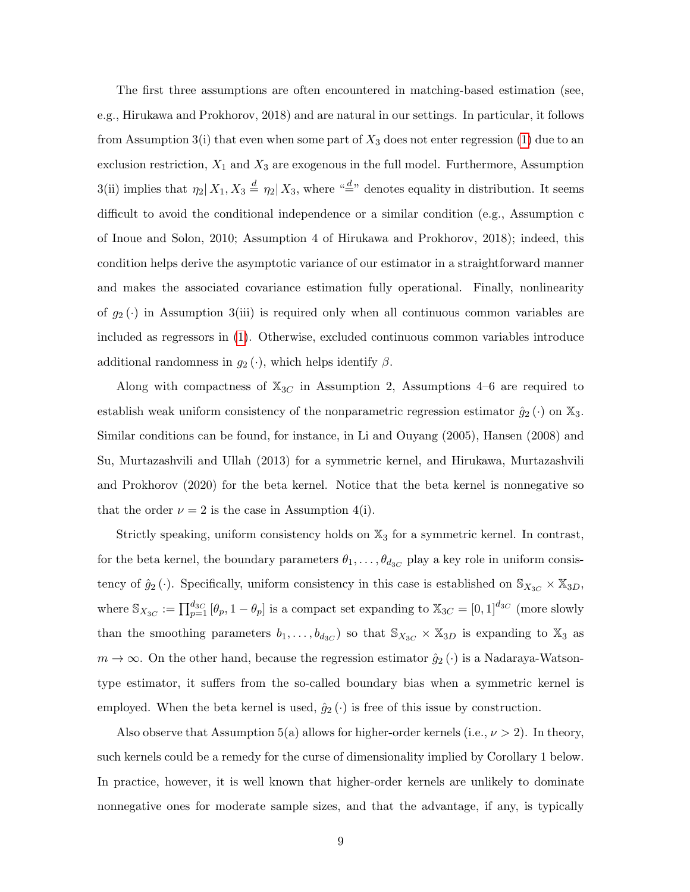The first three assumptions are often encountered in matching-based estimation (see, e.g., Hirukawa and Prokhorov, 2018) and are natural in our settings. In particular, it follows from Assumption 3(i) that even when some part of  $X_3$  does not enter regression [\(1\)](#page-4-0) due to an exclusion restriction,  $X_1$  and  $X_3$  are exogenous in the full model. Furthermore, Assumption 3(ii) implies that  $\eta_2 | X_1, X_3 \stackrel{d}{=} \eta_2 | X_3$ , where " $\stackrel{d}{=}$ " denotes equality in distribution. It seems difficult to avoid the conditional independence or a similar condition (e.g., Assumption c of Inoue and Solon, 2010; Assumption 4 of Hirukawa and Prokhorov, 2018); indeed, this condition helps derive the asymptotic variance of our estimator in a straightforward manner and makes the associated covariance estimation fully operational. Finally, nonlinearity of  $g_2(\cdot)$  in Assumption 3(iii) is required only when all continuous common variables are included as regressors in [\(1\)](#page-4-0). Otherwise, excluded continuous common variables introduce additional randomness in  $g_2(\cdot)$ , which helps identify  $\beta$ .

Along with compactness of  $X_{3C}$  in Assumption 2, Assumptions 4–6 are required to establish weak uniform consistency of the nonparametric regression estimator  $\hat{g}_2(\cdot)$  on  $\mathbb{X}_3$ . Similar conditions can be found, for instance, in Li and Ouyang (2005), Hansen (2008) and Su, Murtazashvili and Ullah (2013) for a symmetric kernel, and Hirukawa, Murtazashvili and Prokhorov (2020) for the beta kernel. Notice that the beta kernel is nonnegative so that the order  $\nu = 2$  is the case in Assumption 4(i).

Strictly speaking, uniform consistency holds on  $\mathbb{X}_3$  for a symmetric kernel. In contrast, for the beta kernel, the boundary parameters  $\theta_1, \ldots, \theta_{d_{3C}}$  play a key role in uniform consistency of  $\hat{g}_2(\cdot)$ . Specifically, uniform consistency in this case is established on  $\mathbb{S}_{X_{3C}} \times \mathbb{X}_{3D}$ , where  $\mathbb{S}_{X_{3C}} := \prod_{p=1}^{d_{3C}} [\theta_p, 1 - \theta_p]$  is a compact set expanding to  $\mathbb{X}_{3C} = [0, 1]^{d_{3C}}$  (more slowly than the smoothing parameters  $b_1, \ldots, b_{d_{3}C}$  so that  $\mathbb{S}_{X_{3}C} \times \mathbb{X}_{3}D$  is expanding to  $\mathbb{X}_3$  as  $m \to \infty$ . On the other hand, because the regression estimator  $\hat{g}_2(\cdot)$  is a Nadaraya-Watsontype estimator, it suffers from the so-called boundary bias when a symmetric kernel is employed. When the beta kernel is used,  $\hat{g}_2(\cdot)$  is free of this issue by construction.

Also observe that Assumption 5(a) allows for higher-order kernels (i.e.,  $\nu > 2$ ). In theory, such kernels could be a remedy for the curse of dimensionality implied by Corollary 1 below. In practice, however, it is well known that higher-order kernels are unlikely to dominate nonnegative ones for moderate sample sizes, and that the advantage, if any, is typically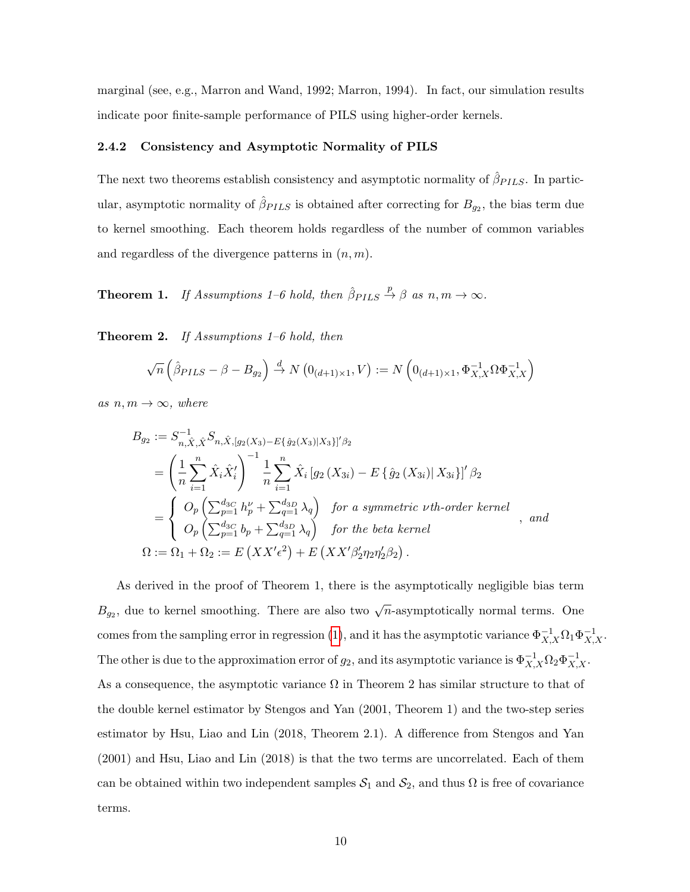marginal (see, e.g., Marron and Wand, 1992; Marron, 1994). In fact, our simulation results indicate poor finite-sample performance of PILS using higher-order kernels.

#### 2.4.2 Consistency and Asymptotic Normality of PILS

The next two theorems establish consistency and asymptotic normality of  $\hat{\beta}_{PLLS}$ . In particular, asymptotic normality of  $\hat{\beta}_{PLLS}$  is obtained after correcting for  $B_{g_2}$ , the bias term due to kernel smoothing. Each theorem holds regardless of the number of common variables and regardless of the divergence patterns in  $(n, m)$ .

**Theorem 1.** If Assumptions 1–6 hold, then  $\hat{\beta}_{PLLS} \stackrel{p}{\rightarrow} \beta$  as  $n, m \rightarrow \infty$ .

Theorem 2. If Assumptions 1–6 hold, then

$$
\sqrt{n}\left(\hat{\beta}_{PLLS} - \beta - B_{g_2}\right) \xrightarrow{d} N\left(0_{(d+1)\times 1}, V\right) := N\left(0_{(d+1)\times 1}, \Phi_{X,X}^{-1} \Omega \Phi_{X,X}^{-1}\right)
$$

as  $n, m \rightarrow \infty$ , where

$$
B_{g_2} := S_{n,\hat{X},\hat{X}}^{-1} S_{n,\hat{X},[g_2(X_3) - E{\hat{g}_2(X_3)|X_3}]'} \beta_2
$$
  
=  $\left(\frac{1}{n} \sum_{i=1}^n \hat{X}_i \hat{X}'_i\right)^{-1} \frac{1}{n} \sum_{i=1}^n \hat{X}_i [g_2(X_{3i}) - E{\hat{g}_2(X_{3i})|X_{3i}}]' \beta_2$   
=  $\left\{\begin{array}{l} O_p\left(\sum_{p=1}^{d_{3C}} h_p^{\nu} + \sum_{q=1}^{d_{3D}} \lambda_q\right) & \text{for a symmetric } \nu \text{th-order kernel} \\ O_p\left(\sum_{p=1}^{d_{3C}} b_p + \sum_{q=1}^{d_{3D}} \lambda_q\right) & \text{for the beta kernel} \end{array}\right., and$   
 $\Omega := \Omega_1 + \Omega_2 := E\left(XX'\epsilon^2\right) + E\left(XX'\beta'_2\eta_2\eta'_2\beta_2\right).$ 

As derived in the proof of Theorem 1, there is the asymptotically negligible bias term  $B_{g_2}$ , due to kernel smoothing. There are also two  $\sqrt{n}$ -asymptotically normal terms. One comes from the sampling error in regression [\(1\)](#page-4-0), and it has the asymptotic variance  $\Phi_{X,X}^{-1}\Omega_1\Phi_{X,X}^{-1}$ . The other is due to the approximation error of  $g_2$ , and its asymptotic variance is  $\Phi_{X,X}^{-1}\Omega_2\Phi_{X,X}^{-1}$ . As a consequence, the asymptotic variance  $\Omega$  in Theorem 2 has similar structure to that of the double kernel estimator by Stengos and Yan (2001, Theorem 1) and the two-step series estimator by Hsu, Liao and Lin (2018, Theorem 2.1). A difference from Stengos and Yan (2001) and Hsu, Liao and Lin (2018) is that the two terms are uncorrelated. Each of them can be obtained within two independent samples  $S_1$  and  $S_2$ , and thus  $\Omega$  is free of covariance terms.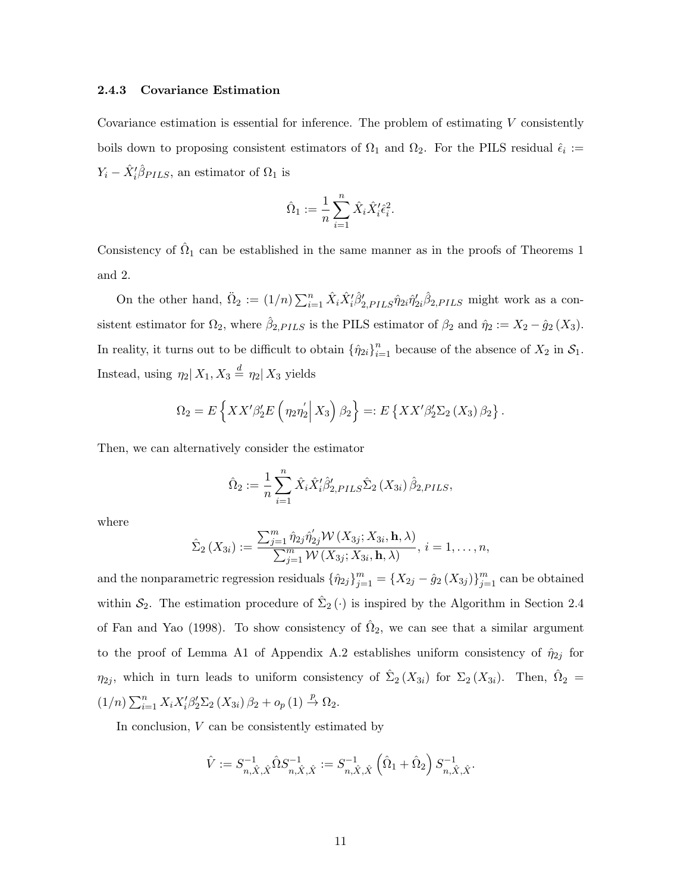#### 2.4.3 Covariance Estimation

Covariance estimation is essential for inference. The problem of estimating  $V$  consistently boils down to proposing consistent estimators of  $\Omega_1$  and  $\Omega_2$ . For the PILS residual  $\hat{\epsilon}_i$  :=  $Y_i - \hat{X}'_i \hat{\beta}_{PILS}$ , an estimator of  $\Omega_1$  is

$$
\hat{\Omega}_1 := \frac{1}{n} \sum_{i=1}^n \hat{X}_i \hat{X}_i' \hat{\epsilon}_i^2.
$$

Consistency of  $\hat{\Omega}_1$  can be established in the same manner as in the proofs of Theorems 1 and 2.

On the other hand,  $\ddot{\Omega}_2 := (1/n) \sum_{i=1}^n \hat{X}_i \hat{X}_i' \hat{\beta}_{2,PLLS}' \hat{\eta}_{2i} \hat{\beta}_{2,PLLS}$  might work as a consistent estimator for  $\Omega_2$ , where  $\hat{\beta}_{2,PILS}$  is the PILS estimator of  $\beta_2$  and  $\hat{\eta}_2 := X_2 - \hat{g}_2(X_3)$ . In reality, it turns out to be difficult to obtain  $\{\hat{\eta}_{2i}\}_{i=1}^n$  because of the absence of  $X_2$  in  $\mathcal{S}_1$ . Instead, using  $\eta_2 | X_1, X_3 \stackrel{d}{=} \eta_2 | X_3$  yields

$$
\Omega_2 = E\left\{XX'\beta'_2E\left(\eta_2\eta'_2\bigg|X_3\right)\beta_2\right\} =: E\left\{XX'\beta'_2\Sigma_2\left(X_3\right)\beta_2\right\}.
$$

Then, we can alternatively consider the estimator

$$
\hat{\Omega}_2 := \frac{1}{n} \sum_{i=1}^n \hat{X}_i \hat{X}_i' \hat{\beta}_{2,PILS}' \hat{\Sigma}_2 (X_{3i}) \hat{\beta}_{2,PILS},
$$

where

$$
\hat{\Sigma}_2(X_{3i}) := \frac{\sum_{j=1}^m \hat{\eta}_{2j} \hat{\eta}'_{2j} \mathcal{W}(X_{3j}; X_{3i}, \mathbf{h}, \lambda)}{\sum_{j=1}^m \mathcal{W}(X_{3j}; X_{3i}, \mathbf{h}, \lambda)}, i = 1, \dots, n,
$$

and the nonparametric regression residuals  $\{\hat{\eta}_{2j}\}_{j=1}^m = \{X_{2j} - \hat{g}_2(X_{3j})\}_{j=1}^m$  can be obtained within  $S_2$ . The estimation procedure of  $\hat{\Sigma}_2(\cdot)$  is inspired by the Algorithm in Section 2.4 of Fan and Yao (1998). To show consistency of  $\hat{\Omega}_2$ , we can see that a similar argument to the proof of Lemma A1 of Appendix A.2 establishes uniform consistency of  $\hat{\eta}_{2j}$  for  $\eta_{2j}$ , which in turn leads to uniform consistency of  $\hat{\Sigma}_2(X_{3i})$  for  $\Sigma_2(X_{3i})$ . Then,  $\hat{\Omega}_2 =$  $(1/n)\sum_{i=1}^n X_i X_i' \beta_2' \Sigma_2 (X_{3i}) \beta_2 + o_p(1) \stackrel{p}{\rightarrow} \Omega_2.$ 

In conclusion, V can be consistently estimated by

$$
\hat{V} := S_{n,\hat{X},\hat{X}}^{-1} \hat{\Omega} S_{n,\hat{X},\hat{X}}^{-1} := S_{n,\hat{X},\hat{X}}^{-1} \left( \hat{\Omega}_1 + \hat{\Omega}_2 \right) S_{n,\hat{X},\hat{X}}^{-1}.
$$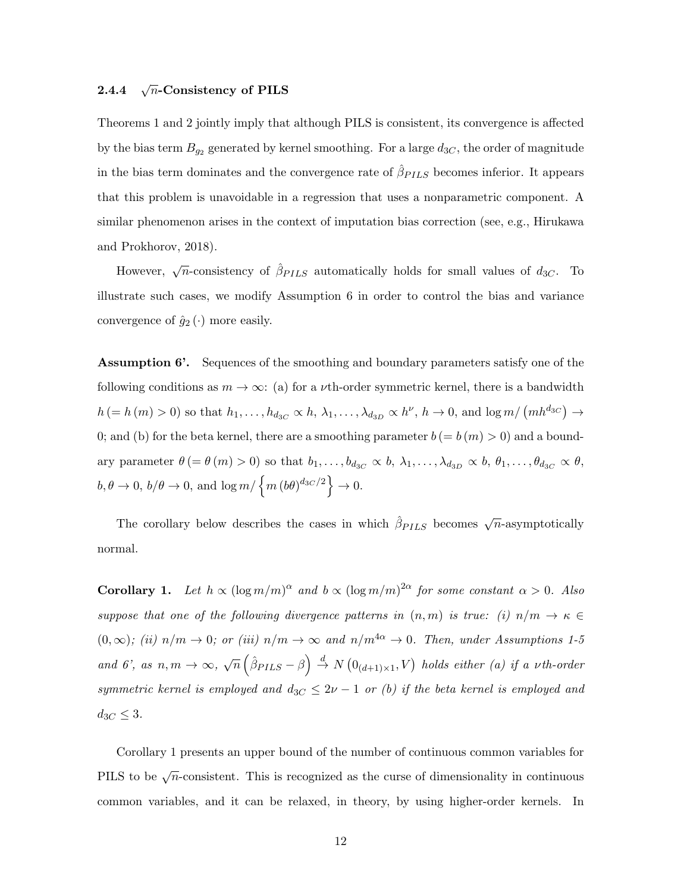#### 2.4.4 <sup>√</sup>  $\sqrt{n}$ -Consistency of PILS

Theorems 1 and 2 jointly imply that although PILS is consistent, its convergence is affected by the bias term  $B_{g_2}$  generated by kernel smoothing. For a large  $d_{3C}$ , the order of magnitude in the bias term dominates and the convergence rate of  $\hat{\beta}_{PLLS}$  becomes inferior. It appears that this problem is unavoidable in a regression that uses a nonparametric component. A similar phenomenon arises in the context of imputation bias correction (see, e.g., Hirukawa and Prokhorov, 2018).

However,  $\sqrt{n}$ -consistency of  $\hat{\beta}_{PLS}$  automatically holds for small values of  $d_{3C}$ . To illustrate such cases, we modify Assumption 6 in order to control the bias and variance convergence of  $\hat{g}_2(\cdot)$  more easily.

Assumption 6'. Sequences of the smoothing and boundary parameters satisfy one of the following conditions as  $m \to \infty$ : (a) for a *v*th-order symmetric kernel, there is a bandwidth  $h (= h(m) > 0)$  so that  $h_1, \ldots, h_{d_{3C}} \propto h, \lambda_1, \ldots, \lambda_{d_{3D}} \propto h^{\nu}, h \to 0$ , and  $\log m / (mh^{d_{3C}}) \to$ 0; and (b) for the beta kernel, there are a smoothing parameter  $b (= b(m) > 0)$  and a boundary parameter  $\theta = \theta(m) > 0$  so that  $b_1, \ldots, b_{d_{3C}} \propto b, \lambda_1, \ldots, \lambda_{d_{3D}} \propto b, \theta_1, \ldots, \theta_{d_{3C}} \propto \theta$ ,  $b, \theta \to 0, b/\theta \to 0$ , and  $\log m / \left\{ m (b\theta)^{d_{3C}/2} \right\} \to 0$ .

The corollary below describes the cases in which  $\hat{\beta}_{PLS}$  becomes  $\sqrt{n}$ -asymptotically normal.

**Corollary 1.** Let  $h \propto (\log m/m)^{\alpha}$  and  $b \propto (\log m/m)^{2\alpha}$  for some constant  $\alpha > 0$ . Also suppose that one of the following divergence patterns in  $(n, m)$  is true: (i)  $n/m \rightarrow \kappa \in$  $(0,\infty)$ ; (ii)  $n/m \to 0$ ; or (iii)  $n/m \to \infty$  and  $n/m^{4\alpha} \to 0$ . Then, under Assumptions 1-5 and 6', as  $n, m \to \infty$ ,  $\sqrt{n} \left( \hat{\beta}_{PLLS} - \beta \right) \stackrel{d}{\to} N \left( 0_{(d+1)\times 1}, V \right)$  holds either (a) if a vth-order symmetric kernel is employed and  $d_{3C} \leq 2\nu - 1$  or (b) if the beta kernel is employed and  $d_{3C} \leq 3$ .

Corollary 1 presents an upper bound of the number of continuous common variables for PILS to be  $\sqrt{n}$ -consistent. This is recognized as the curse of dimensionality in continuous common variables, and it can be relaxed, in theory, by using higher-order kernels. In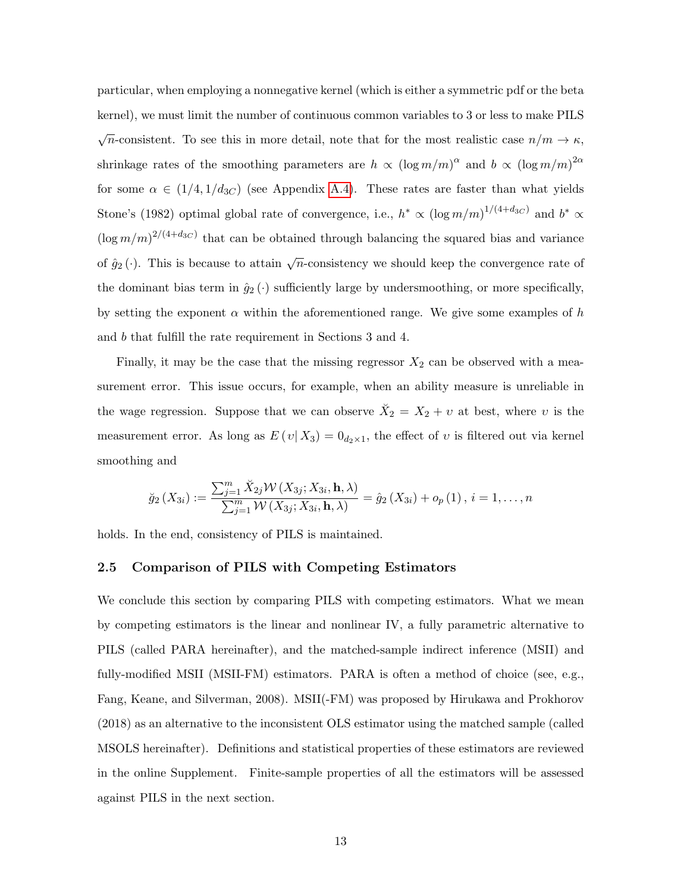particular, when employing a nonnegative kernel (which is either a symmetric pdf or the beta kernel), we must limit the number of continuous common variables to 3 or less to make PILS  $\sqrt{n}$ -consistent. To see this in more detail, note that for the most realistic case  $n/m \to \kappa$ , shrinkage rates of the smoothing parameters are  $h \propto (\log m/m)^{\alpha}$  and  $b \propto (\log m/m)^{2\alpha}$ for some  $\alpha \in (1/4, 1/d_{3C})$  (see Appendix [A.4\)](#page-32-0). These rates are faster than what yields Stone's (1982) optimal global rate of convergence, i.e.,  $h^* \propto (\log m/m)^{1/(4+d_{3C})}$  and  $b^* \propto$  $(\log m/m)^{2/(4+d_{3C})}$  that can be obtained through balancing the squared bias and variance of  $\hat{g}_2(\cdot)$ . This is because to attain  $\sqrt{n}$ -consistency we should keep the convergence rate of the dominant bias term in  $\hat{g}_2(\cdot)$  sufficiently large by undersmoothing, or more specifically, by setting the exponent  $\alpha$  within the aforementioned range. We give some examples of h and b that fulfill the rate requirement in Sections 3 and 4.

Finally, it may be the case that the missing regressor  $X_2$  can be observed with a measurement error. This issue occurs, for example, when an ability measure is unreliable in the wage regression. Suppose that we can observe  $\breve{X}_2 = X_2 + \upsilon$  at best, where  $\upsilon$  is the measurement error. As long as  $E(v|X_3) = 0_{d_2 \times 1}$ , the effect of v is filtered out via kernel smoothing and

$$
\breve{g}_2\left(X_{3i}\right) := \frac{\sum_{j=1}^m \breve{X}_{2j} \mathcal{W}\left(X_{3j}; X_{3i}, \mathbf{h}, \lambda\right)}{\sum_{j=1}^m \mathcal{W}\left(X_{3j}; X_{3i}, \mathbf{h}, \lambda\right)} = \hat{g}_2\left(X_{3i}\right) + o_p\left(1\right), i = 1, \dots, n
$$

holds. In the end, consistency of PILS is maintained.

#### <span id="page-13-0"></span>2.5 Comparison of PILS with Competing Estimators

We conclude this section by comparing PILS with competing estimators. What we mean by competing estimators is the linear and nonlinear IV, a fully parametric alternative to PILS (called PARA hereinafter), and the matched-sample indirect inference (MSII) and fully-modified MSII (MSII-FM) estimators. PARA is often a method of choice (see, e.g., Fang, Keane, and Silverman, 2008). MSII(-FM) was proposed by Hirukawa and Prokhorov (2018) as an alternative to the inconsistent OLS estimator using the matched sample (called MSOLS hereinafter). Definitions and statistical properties of these estimators are reviewed in the online Supplement. Finite-sample properties of all the estimators will be assessed against PILS in the next section.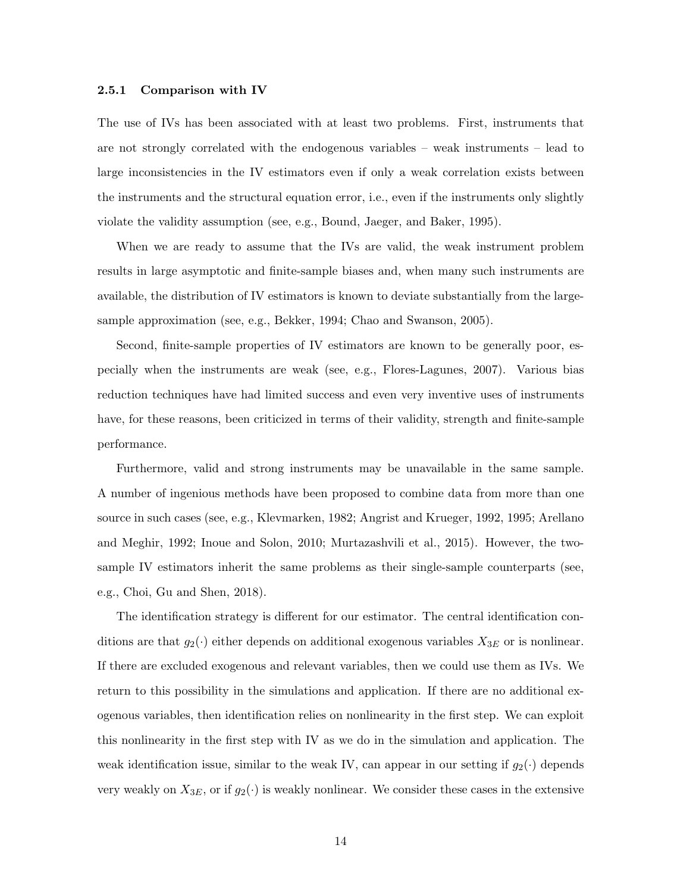#### 2.5.1 Comparison with IV

The use of IVs has been associated with at least two problems. First, instruments that are not strongly correlated with the endogenous variables – weak instruments – lead to large inconsistencies in the IV estimators even if only a weak correlation exists between the instruments and the structural equation error, i.e., even if the instruments only slightly violate the validity assumption (see, e.g., Bound, Jaeger, and Baker, 1995).

When we are ready to assume that the IVs are valid, the weak instrument problem results in large asymptotic and finite-sample biases and, when many such instruments are available, the distribution of IV estimators is known to deviate substantially from the largesample approximation (see, e.g., Bekker, 1994; Chao and Swanson, 2005).

Second, finite-sample properties of IV estimators are known to be generally poor, especially when the instruments are weak (see, e.g., Flores-Lagunes, 2007). Various bias reduction techniques have had limited success and even very inventive uses of instruments have, for these reasons, been criticized in terms of their validity, strength and finite-sample performance.

Furthermore, valid and strong instruments may be unavailable in the same sample. A number of ingenious methods have been proposed to combine data from more than one source in such cases (see, e.g., Klevmarken, 1982; Angrist and Krueger, 1992, 1995; Arellano and Meghir, 1992; Inoue and Solon, 2010; Murtazashvili et al., 2015). However, the twosample IV estimators inherit the same problems as their single-sample counterparts (see, e.g., Choi, Gu and Shen, 2018).

The identification strategy is different for our estimator. The central identification conditions are that  $g_2(\cdot)$  either depends on additional exogenous variables  $X_{3E}$  or is nonlinear. If there are excluded exogenous and relevant variables, then we could use them as IVs. We return to this possibility in the simulations and application. If there are no additional exogenous variables, then identification relies on nonlinearity in the first step. We can exploit this nonlinearity in the first step with IV as we do in the simulation and application. The weak identification issue, similar to the weak IV, can appear in our setting if  $g_2(\cdot)$  depends very weakly on  $X_{3E}$ , or if  $g_2(\cdot)$  is weakly nonlinear. We consider these cases in the extensive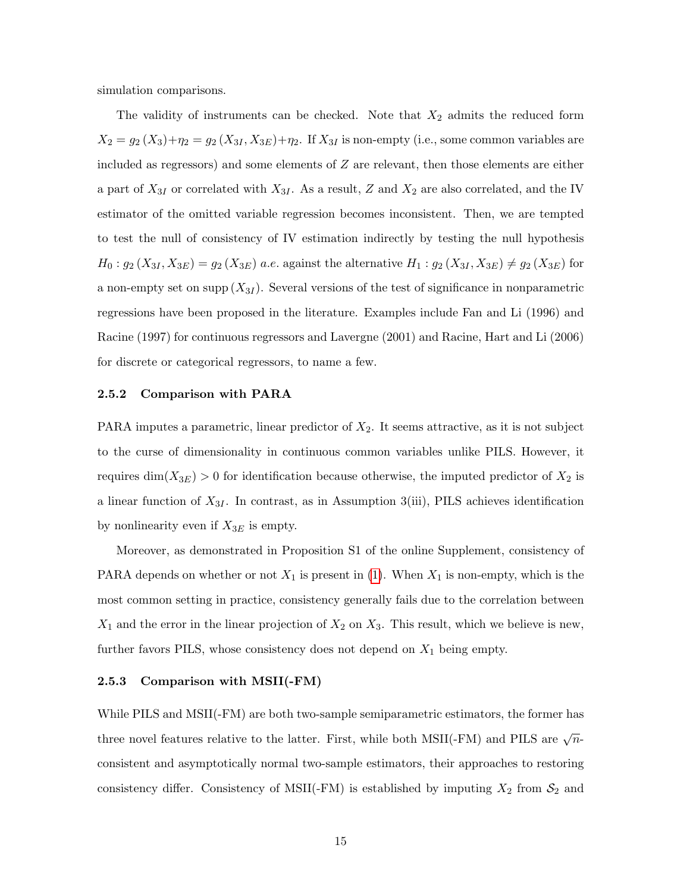simulation comparisons.

The validity of instruments can be checked. Note that  $X_2$  admits the reduced form  $X_2 = g_2(X_3) + \eta_2 = g_2(X_{3I}, X_{3E}) + \eta_2$ . If  $X_{3I}$  is non-empty (i.e., some common variables are included as regressors) and some elements of Z are relevant, then those elements are either a part of  $X_{3I}$  or correlated with  $X_{3I}$ . As a result, Z and  $X_2$  are also correlated, and the IV estimator of the omitted variable regression becomes inconsistent. Then, we are tempted to test the null of consistency of IV estimation indirectly by testing the null hypothesis  $H_0: g_2(X_{3I}, X_{3E}) = g_2(X_{3E})$  a.e. against the alternative  $H_1: g_2(X_{3I}, X_{3E}) \neq g_2(X_{3E})$  for a non-empty set on supp  $(X_{3I})$ . Several versions of the test of significance in nonparametric regressions have been proposed in the literature. Examples include Fan and Li (1996) and Racine (1997) for continuous regressors and Lavergne (2001) and Racine, Hart and Li (2006) for discrete or categorical regressors, to name a few.

#### 2.5.2 Comparison with PARA

PARA imputes a parametric, linear predictor of  $X_2$ . It seems attractive, as it is not subject to the curse of dimensionality in continuous common variables unlike PILS. However, it requires  $\dim(X_{3E}) > 0$  for identification because otherwise, the imputed predictor of  $X_2$  is a linear function of  $X_{3I}$ . In contrast, as in Assumption 3(iii), PILS achieves identification by nonlinearity even if  $X_{3E}$  is empty.

Moreover, as demonstrated in Proposition S1 of the online Supplement, consistency of PARA depends on whether or not  $X_1$  is present in [\(1\)](#page-4-0). When  $X_1$  is non-empty, which is the most common setting in practice, consistency generally fails due to the correlation between  $X_1$  and the error in the linear projection of  $X_2$  on  $X_3$ . This result, which we believe is new, further favors PILS, whose consistency does not depend on  $X_1$  being empty.

#### 2.5.3 Comparison with MSII(-FM)

While PILS and MSII(-FM) are both two-sample semiparametric estimators, the former has three novel features relative to the latter. First, while both MSII(-FM) and PILS are  $\sqrt{n}$ consistent and asymptotically normal two-sample estimators, their approaches to restoring consistency differ. Consistency of MSII(-FM) is established by imputing  $X_2$  from  $S_2$  and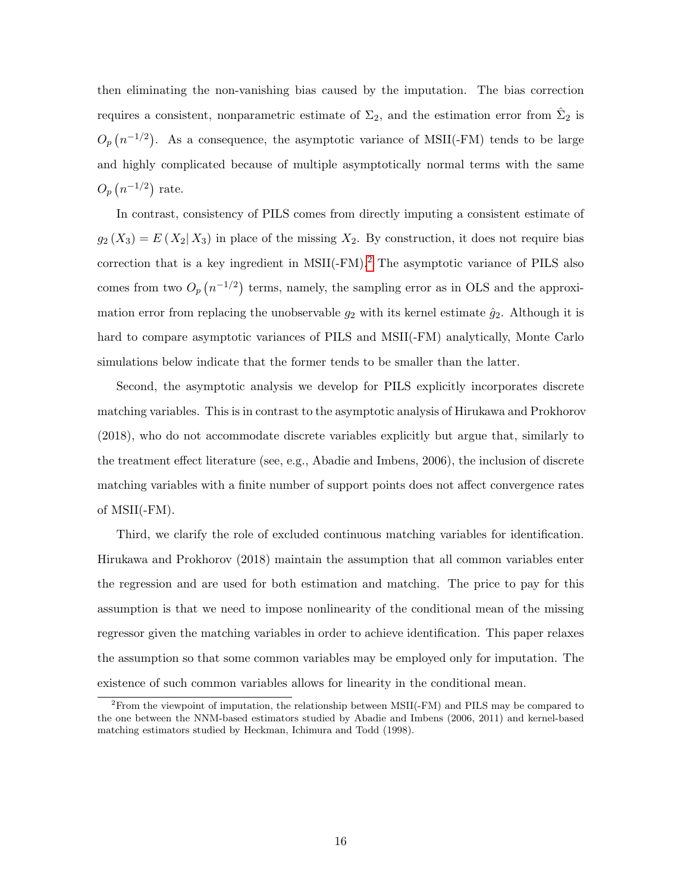then eliminating the non-vanishing bias caused by the imputation. The bias correction requires a consistent, nonparametric estimate of  $\Sigma_2$ , and the estimation error from  $\hat{\Sigma}_2$  is  $O_p(n^{-1/2})$ . As a consequence, the asymptotic variance of MSII(-FM) tends to be large and highly complicated because of multiple asymptotically normal terms with the same  $O_p(n^{-1/2})$  rate.

In contrast, consistency of PILS comes from directly imputing a consistent estimate of  $g_2(X_3) = E(X_2|X_3)$  in place of the missing  $X_2$ . By construction, it does not require bias correction that is a key ingredient in MSII(-FM).[2](#page-16-0) The asymptotic variance of PILS also comes from two  $O_p(n^{-1/2})$  terms, namely, the sampling error as in OLS and the approximation error from replacing the unobservable  $g_2$  with its kernel estimate  $\hat{g}_2$ . Although it is hard to compare asymptotic variances of PILS and MSII(-FM) analytically, Monte Carlo simulations below indicate that the former tends to be smaller than the latter.

Second, the asymptotic analysis we develop for PILS explicitly incorporates discrete matching variables. This is in contrast to the asymptotic analysis of Hirukawa and Prokhorov (2018), who do not accommodate discrete variables explicitly but argue that, similarly to the treatment effect literature (see, e.g., Abadie and Imbens, 2006), the inclusion of discrete matching variables with a finite number of support points does not affect convergence rates of MSII(-FM).

Third, we clarify the role of excluded continuous matching variables for identification. Hirukawa and Prokhorov (2018) maintain the assumption that all common variables enter the regression and are used for both estimation and matching. The price to pay for this assumption is that we need to impose nonlinearity of the conditional mean of the missing regressor given the matching variables in order to achieve identification. This paper relaxes the assumption so that some common variables may be employed only for imputation. The existence of such common variables allows for linearity in the conditional mean.

<span id="page-16-0"></span><sup>2</sup>From the viewpoint of imputation, the relationship between MSII(-FM) and PILS may be compared to the one between the NNM-based estimators studied by Abadie and Imbens (2006, 2011) and kernel-based matching estimators studied by Heckman, Ichimura and Todd (1998).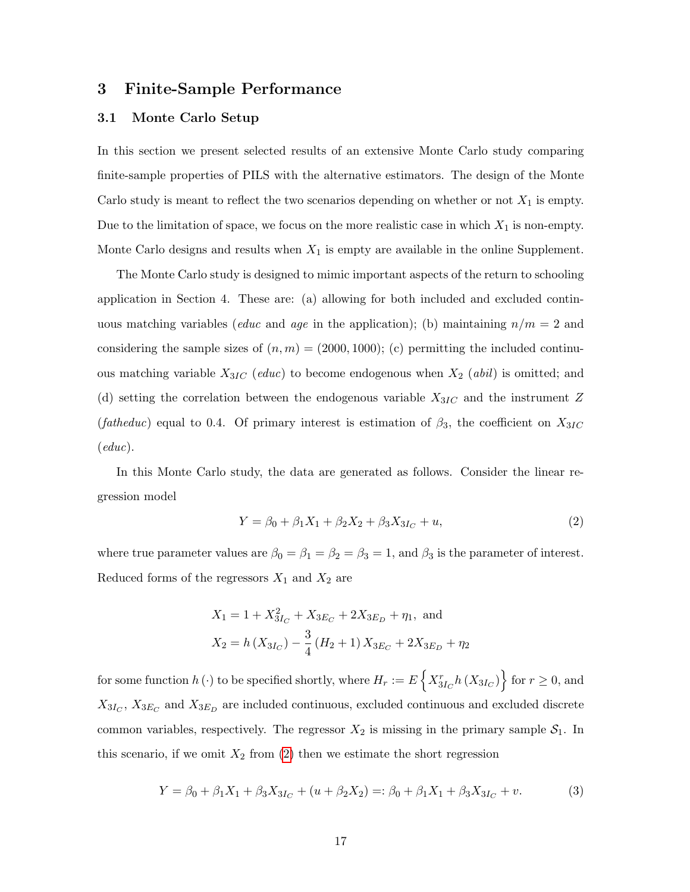### 3 Finite-Sample Performance

#### 3.1 Monte Carlo Setup

In this section we present selected results of an extensive Monte Carlo study comparing finite-sample properties of PILS with the alternative estimators. The design of the Monte Carlo study is meant to reflect the two scenarios depending on whether or not  $X_1$  is empty. Due to the limitation of space, we focus on the more realistic case in which  $X_1$  is non-empty. Monte Carlo designs and results when  $X_1$  is empty are available in the online Supplement.

The Monte Carlo study is designed to mimic important aspects of the return to schooling application in Section 4. These are: (a) allowing for both included and excluded continuous matching variables (*educ* and *age* in the application); (b) maintaining  $n/m = 2$  and considering the sample sizes of  $(n, m) = (2000, 1000)$ ; (c) permitting the included continuous matching variable  $X_{3IC}$  (educ) to become endogenous when  $X_2$  (abil) is omitted; and (d) setting the correlation between the endogenous variable  $X_{3IC}$  and the instrument Z (fatheduc) equal to 0.4. Of primary interest is estimation of  $\beta_3$ , the coefficient on  $X_{3IC}$  $(\text{educ}).$ 

In this Monte Carlo study, the data are generated as follows. Consider the linear regression model

<span id="page-17-0"></span>
$$
Y = \beta_0 + \beta_1 X_1 + \beta_2 X_2 + \beta_3 X_{3I_C} + u,\tag{2}
$$

where true parameter values are  $\beta_0 = \beta_1 = \beta_2 = \beta_3 = 1$ , and  $\beta_3$  is the parameter of interest. Reduced forms of the regressors  $X_1$  and  $X_2$  are

$$
X_1 = 1 + X_{3I_C}^2 + X_{3E_C} + 2X_{3E_D} + \eta_1, \text{ and}
$$
  

$$
X_2 = h(X_{3I_C}) - \frac{3}{4} (H_2 + 1) X_{3E_C} + 2X_{3E_D} + \eta_2
$$

for some function  $h(\cdot)$  to be specified shortly, where  $H_r := E\left\{X^r_{3I_C}h(X_{3I_C})\right\}$  for  $r \geq 0$ , and  $X_{3I_C}$ ,  $X_{3E_C}$  and  $X_{3E_D}$  are included continuous, excluded continuous and excluded discrete common variables, respectively. The regressor  $X_2$  is missing in the primary sample  $S_1$ . In this scenario, if we omit  $X_2$  from [\(2\)](#page-17-0) then we estimate the short regression

<span id="page-17-1"></span>
$$
Y = \beta_0 + \beta_1 X_1 + \beta_3 X_{3I_C} + (u + \beta_2 X_2) =: \beta_0 + \beta_1 X_1 + \beta_3 X_{3I_C} + v. \tag{3}
$$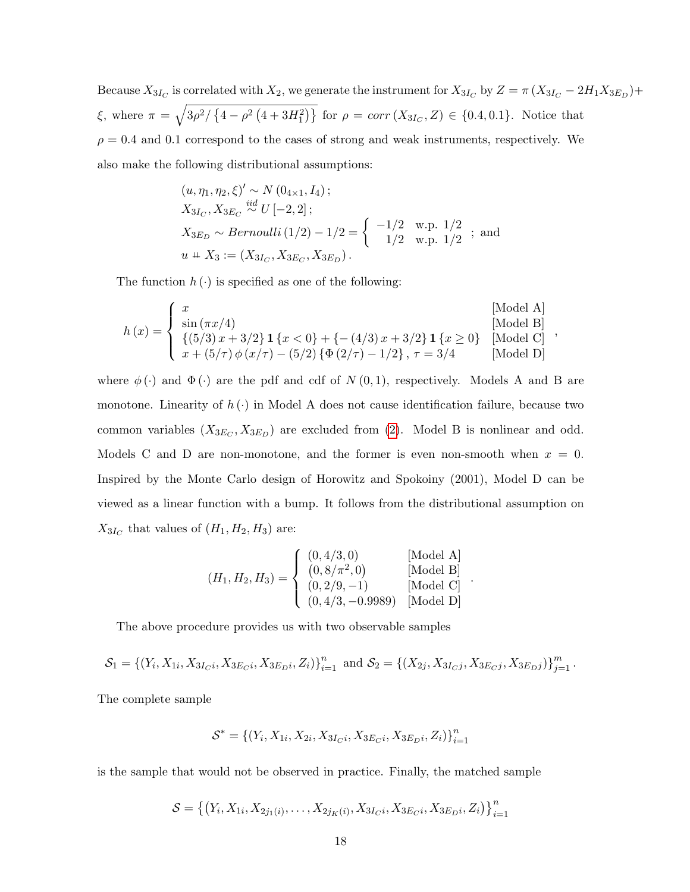Because  $X_{3I_C}$  is correlated with  $X_2$ , we generate the instrument for  $X_{3I_C}$  by  $Z = \pi (X_{3I_C} - 2H_1X_{3E_D}) +$  $\xi$ , where  $\pi = \sqrt{3\rho^2/\left\{4-\rho^2\left(4+3H_1^2\right)\right\}}$  for  $\rho = corr(X_{3I_C}, Z) \in \{0.4, 0.1\}$ . Notice that  $\rho = 0.4$  and 0.1 correspond to the cases of strong and weak instruments, respectively. We also make the following distributional assumptions:

$$
(u, \eta_1, \eta_2, \xi)' \sim N(0_{4 \times 1}, I_4);
$$
  
\n
$$
X_{3I_C}, X_{3E_C} \stackrel{iid}{\sim} U[-2, 2];
$$
  
\n
$$
X_{3E_D} \sim Bernoulli(1/2) - 1/2 = \begin{cases} -1/2 & \text{w.p. } 1/2 \\ 1/2 & \text{w.p. } 1/2 \end{cases};
$$
 and  
\n
$$
u \perp X_3 := (X_{3I_C}, X_{3E_C}, X_{3E_D}).
$$

The function  $h(\cdot)$  is specified as one of the following:

$$
h(x) = \begin{cases} x & \text{[Model A]}\\ \sin(\pi x/4) & \text{[Model B]}\\ \{(5/3) x + 3/2\} \mathbf{1} \{x < 0\} + \{-(4/3) x + 3/2\} \mathbf{1} \{x \ge 0\} & \text{[Model C]}\\ x + (5/\tau) \phi(x/\tau) - (5/2) \{\Phi(2/\tau) - 1/2\}, \tau = 3/4 & \text{[Model D]} \end{cases}
$$

where  $\phi(\cdot)$  and  $\Phi(\cdot)$  are the pdf and cdf of  $N(0,1)$ , respectively. Models A and B are monotone. Linearity of  $h(\cdot)$  in Model A does not cause identification failure, because two common variables  $(X_{3E_C}, X_{3E_D})$  are excluded from [\(2\)](#page-17-0). Model B is nonlinear and odd. Models C and D are non-monotone, and the former is even non-smooth when  $x = 0$ . Inspired by the Monte Carlo design of Horowitz and Spokoiny (2001), Model D can be viewed as a linear function with a bump. It follows from the distributional assumption on  $X_{3I_C}$  that values of  $(H_1, H_2, H_3)$  are:

$$
(H_1, H_2, H_3) = \begin{cases} (0, 4/3, 0) & [\text{Model A}] \\ (0, 8/\pi^2, 0) & [\text{Model B}] \\ (0, 2/9, -1) & [\text{Model C}] \\ (0, 4/3, -0.9989) & [\text{Model D}] \end{cases}.
$$

The above procedure provides us with two observable samples

$$
\mathcal{S}_1 = \{ (Y_i, X_{1i}, X_{3I_Ci}, X_{3E_Ci}, X_{3E_Di}, Z_i) \}_{i=1}^n \text{ and } \mathcal{S}_2 = \{ (X_{2j}, X_{3I_Cj}, X_{3E_Cj}, X_{3E_Dj}) \}_{j=1}^m.
$$

The complete sample

$$
\mathcal{S}^* = \{ (Y_i, X_{1i}, X_{2i}, X_{3I_Ci}, X_{3E_Ci}, X_{3E_Di}, Z_i) \}_{i=1}^n
$$

is the sample that would not be observed in practice. Finally, the matched sample

$$
\mathcal{S} = \left\{ \left( Y_i, X_{1i}, X_{2j_1(i)}, \dots, X_{2j_K(i)}, X_{3L(i)}, X_{3E_{C}(i)}, X_{3E_{D}(i)}, Z_i \right) \right\}_{i=1}^n
$$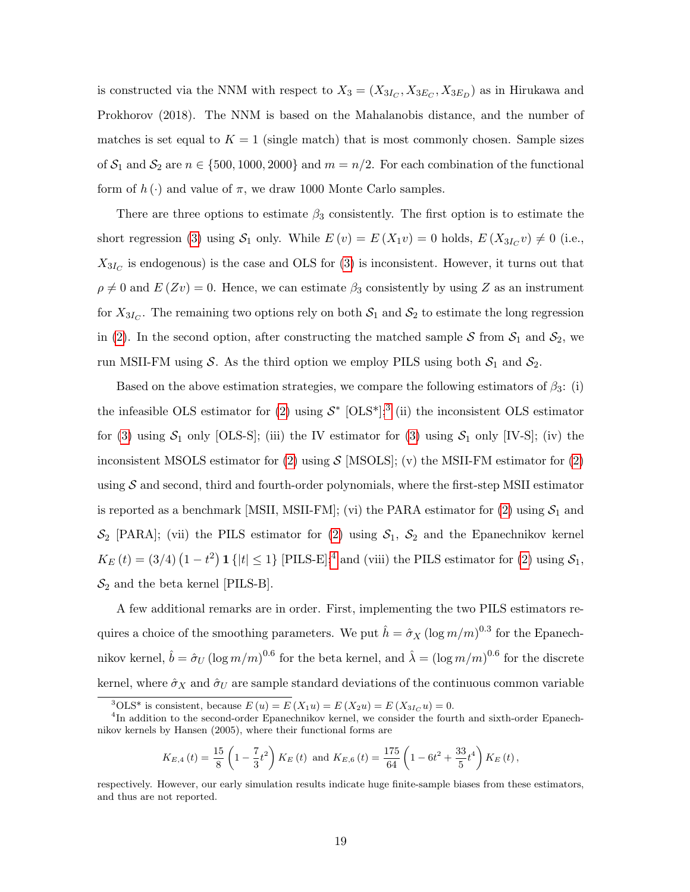is constructed via the NNM with respect to  $X_3 = (X_{3I_C}, X_{3E_C}, X_{3E_D})$  as in Hirukawa and Prokhorov (2018). The NNM is based on the Mahalanobis distance, and the number of matches is set equal to  $K = 1$  (single match) that is most commonly chosen. Sample sizes of  $S_1$  and  $S_2$  are  $n \in \{500, 1000, 2000\}$  and  $m = n/2$ . For each combination of the functional form of  $h(\cdot)$  and value of  $\pi$ , we draw 1000 Monte Carlo samples.

There are three options to estimate  $\beta_3$  consistently. The first option is to estimate the short regression [\(3\)](#page-17-1) using  $S_1$  only. While  $E(v) = E(X_1v) = 0$  holds,  $E(X_{3I_C}v) \neq 0$  (i.e.,  $X_{3I_C}$  is endogenous) is the case and OLS for [\(3\)](#page-17-1) is inconsistent. However, it turns out that  $\rho \neq 0$  and  $E(Zv) = 0$ . Hence, we can estimate  $\beta_3$  consistently by using Z as an instrument for  $X_{3I_C}$ . The remaining two options rely on both  $S_1$  and  $S_2$  to estimate the long regression in [\(2\)](#page-17-0). In the second option, after constructing the matched sample S from  $S_1$  and  $S_2$ , we run MSII-FM using S. As the third option we employ PILS using both  $S_1$  and  $S_2$ .

Based on the above estimation strategies, we compare the following estimators of  $\beta_3$ : (i) the infeasible OLS estimator for [\(2\)](#page-17-0) using  $S^*$  [OLS<sup>\*</sup>];<sup>[3](#page-19-0)</sup> (ii) the inconsistent OLS estimator for [\(3\)](#page-17-1) using  $S_1$  only [OLS-S]; (iii) the IV estimator for (3) using  $S_1$  only [IV-S]; (iv) the inconsistent MSOLS estimator for [\(2\)](#page-17-0) using  $\mathcal{S}$  [MSOLS]; (v) the MSII-FM estimator for (2) using  $S$  and second, third and fourth-order polynomials, where the first-step MSII estimator is reported as a benchmark [MSII, MSII-FM]; (vi) the PARA estimator for [\(2\)](#page-17-0) using  $S_1$  and  $\mathcal{S}_2$  [PARA]; (vii) the PILS estimator for [\(2\)](#page-17-0) using  $\mathcal{S}_1$ ,  $\mathcal{S}_2$  and the Epanechnikov kernel  $K_E(t) = (3/4) (1-t^2) \mathbf{1} \{ |t| \leq 1 \}$  $K_E(t) = (3/4) (1-t^2) \mathbf{1} \{ |t| \leq 1 \}$  $K_E(t) = (3/4) (1-t^2) \mathbf{1} \{ |t| \leq 1 \}$  [PILS-E];<sup>4</sup> and (viii) the PILS estimator for [\(2\)](#page-17-0) using  $S_1$ ,  $S_2$  and the beta kernel [PILS-B].

A few additional remarks are in order. First, implementing the two PILS estimators requires a choice of the smoothing parameters. We put  $\hat{h} = \hat{\sigma}_X (\log m/m)^{0.3}$  for the Epanechnikov kernel,  $\hat{b} = \hat{\sigma}_U (\log m/m)^{0.6}$  for the beta kernel, and  $\hat{\lambda} = (\log m/m)^{0.6}$  for the discrete kernel, where  $\hat{\sigma}_X$  and  $\hat{\sigma}_U$  are sample standard deviations of the continuous common variable

$$
K_{E,4}(t) = \frac{15}{8} \left( 1 - \frac{7}{3} t^2 \right) K_E(t) \text{ and } K_{E,6}(t) = \frac{175}{64} \left( 1 - 6t^2 + \frac{33}{5} t^4 \right) K_E(t),
$$

respectively. However, our early simulation results indicate huge finite-sample biases from these estimators, and thus are not reported.

<span id="page-19-1"></span><span id="page-19-0"></span><sup>&</sup>lt;sup>3</sup>OLS<sup>\*</sup> is consistent, because  $E(u) = E(X_1u) = E(X_2u) = E(X_3I_Cu) = 0.$ 

<sup>&</sup>lt;sup>4</sup>In addition to the second-order Epanechnikov kernel, we consider the fourth and sixth-order Epanechnikov kernels by Hansen (2005), where their functional forms are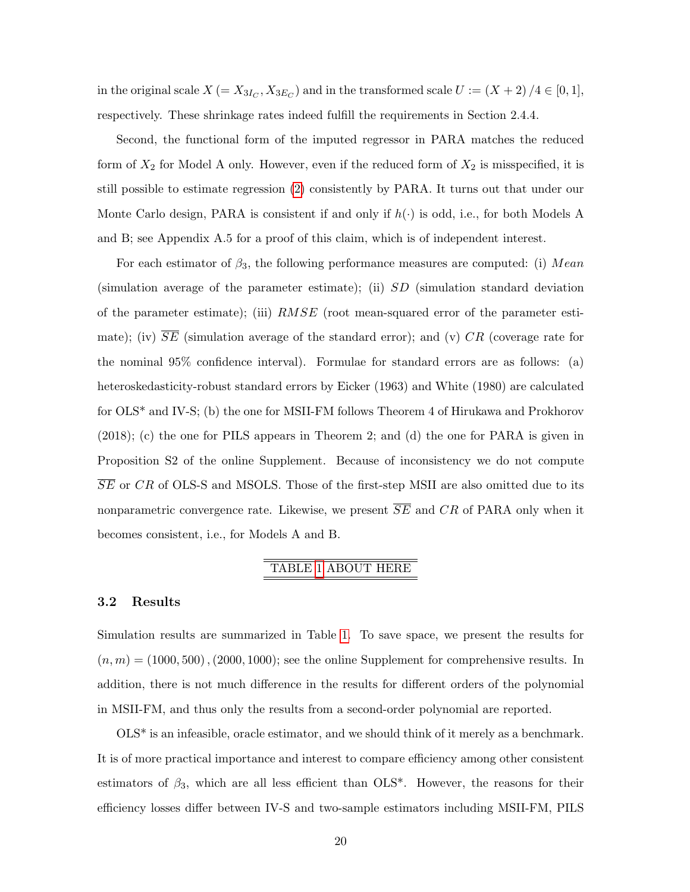in the original scale  $X (= X_{3I_C}, X_{3E_C})$  and in the transformed scale  $U := (X + 2)/4 \in [0, 1]$ , respectively. These shrinkage rates indeed fulfill the requirements in Section 2.4.4.

Second, the functional form of the imputed regressor in PARA matches the reduced form of  $X_2$  for Model A only. However, even if the reduced form of  $X_2$  is misspecified, it is still possible to estimate regression [\(2\)](#page-17-0) consistently by PARA. It turns out that under our Monte Carlo design, PARA is consistent if and only if  $h(\cdot)$  is odd, i.e., for both Models A and B; see Appendix A.5 for a proof of this claim, which is of independent interest.

For each estimator of  $\beta_3$ , the following performance measures are computed: (i) Mean (simulation average of the parameter estimate); (ii) SD (simulation standard deviation of the parameter estimate); (iii) RMSE (root mean-squared error of the parameter estimate); (iv)  $\overline{SE}$  (simulation average of the standard error); and (v) CR (coverage rate for the nominal 95% confidence interval). Formulae for standard errors are as follows: (a) heteroskedasticity-robust standard errors by Eicker (1963) and White (1980) are calculated for OLS\* and IV-S; (b) the one for MSII-FM follows Theorem 4 of Hirukawa and Prokhorov (2018); (c) the one for PILS appears in Theorem 2; and (d) the one for PARA is given in Proposition S2 of the online Supplement. Because of inconsistency we do not compute  $\overline{SE}$  or CR of OLS-S and MSOLS. Those of the first-step MSII are also omitted due to its nonparametric convergence rate. Likewise, we present  $\overline{SE}$  and  $CR$  of PARA only when it becomes consistent, i.e., for Models A and B.

### TABLE [1](#page-37-0) ABOUT HERE

#### 3.2 Results

Simulation results are summarized in Table [1.](#page-37-0) To save space, we present the results for  $(n, m) = (1000, 500), (2000, 1000)$ ; see the online Supplement for comprehensive results. In addition, there is not much difference in the results for different orders of the polynomial in MSII-FM, and thus only the results from a second-order polynomial are reported.

OLS\* is an infeasible, oracle estimator, and we should think of it merely as a benchmark. It is of more practical importance and interest to compare efficiency among other consistent estimators of  $\beta_3$ , which are all less efficient than OLS<sup>\*</sup>. However, the reasons for their efficiency losses differ between IV-S and two-sample estimators including MSII-FM, PILS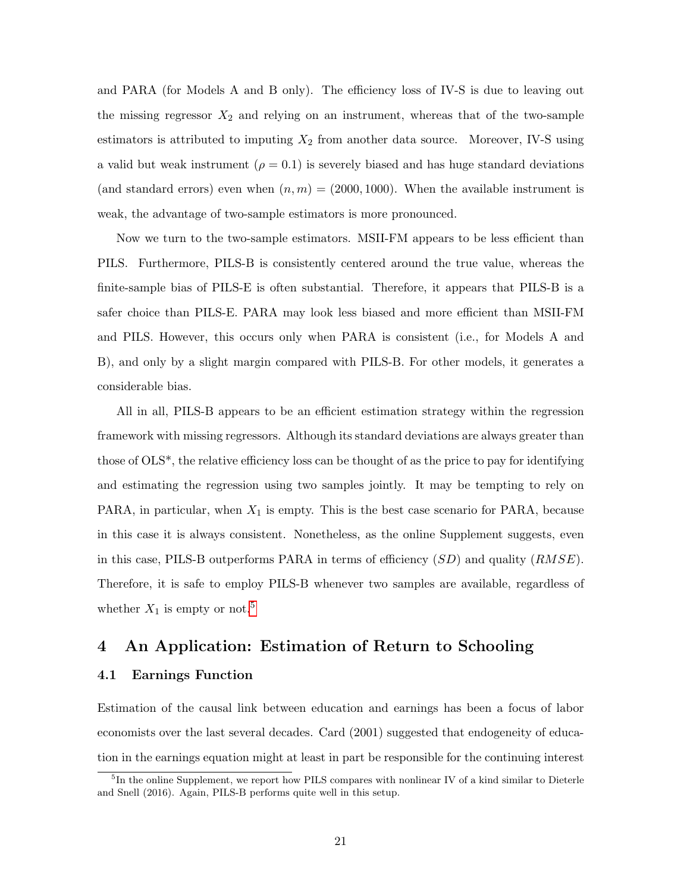and PARA (for Models A and B only). The efficiency loss of IV-S is due to leaving out the missing regressor  $X_2$  and relying on an instrument, whereas that of the two-sample estimators is attributed to imputing  $X_2$  from another data source. Moreover, IV-S using a valid but weak instrument ( $\rho = 0.1$ ) is severely biased and has huge standard deviations (and standard errors) even when  $(n, m) = (2000, 1000)$ . When the available instrument is weak, the advantage of two-sample estimators is more pronounced.

Now we turn to the two-sample estimators. MSII-FM appears to be less efficient than PILS. Furthermore, PILS-B is consistently centered around the true value, whereas the finite-sample bias of PILS-E is often substantial. Therefore, it appears that PILS-B is a safer choice than PILS-E. PARA may look less biased and more efficient than MSII-FM and PILS. However, this occurs only when PARA is consistent (i.e., for Models A and B), and only by a slight margin compared with PILS-B. For other models, it generates a considerable bias.

All in all, PILS-B appears to be an efficient estimation strategy within the regression framework with missing regressors. Although its standard deviations are always greater than those of OLS\*, the relative efficiency loss can be thought of as the price to pay for identifying and estimating the regression using two samples jointly. It may be tempting to rely on PARA, in particular, when  $X_1$  is empty. This is the best case scenario for PARA, because in this case it is always consistent. Nonetheless, as the online Supplement suggests, even in this case, PILS-B outperforms PARA in terms of efficiency  $(SD)$  and quality  $(RMSE)$ . Therefore, it is safe to employ PILS-B whenever two samples are available, regardless of whether  $X_1$  is empty or not.<sup>[5](#page-21-0)</sup>

### 4 An Application: Estimation of Return to Schooling

### 4.1 Earnings Function

Estimation of the causal link between education and earnings has been a focus of labor economists over the last several decades. Card (2001) suggested that endogeneity of education in the earnings equation might at least in part be responsible for the continuing interest

<span id="page-21-0"></span><sup>&</sup>lt;sup>5</sup>In the online Supplement, we report how PILS compares with nonlinear IV of a kind similar to Dieterle and Snell (2016). Again, PILS-B performs quite well in this setup.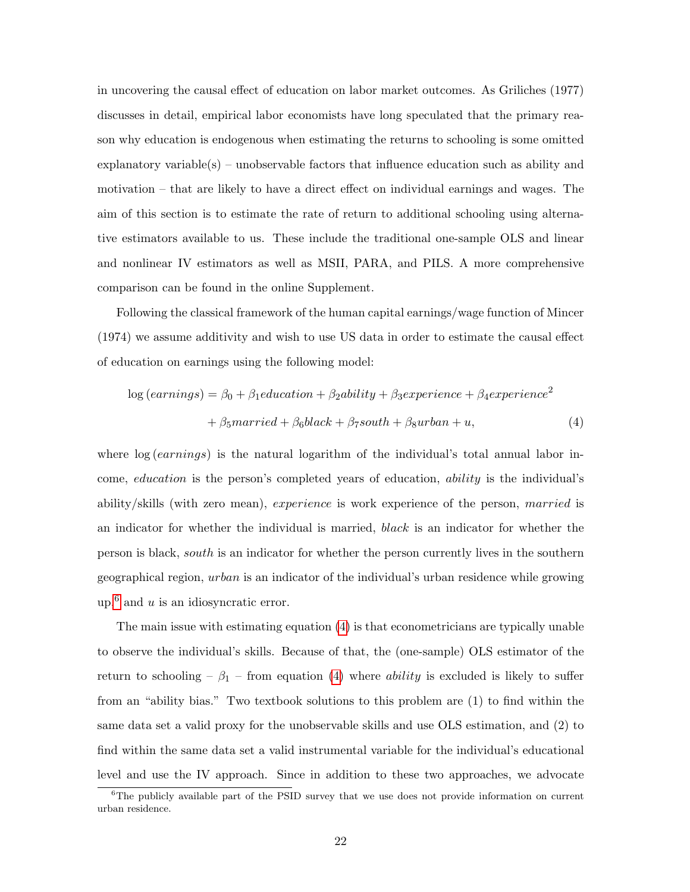in uncovering the causal effect of education on labor market outcomes. As Griliches (1977) discusses in detail, empirical labor economists have long speculated that the primary reason why education is endogenous when estimating the returns to schooling is some omitted explanatory variable(s) – unobservable factors that influence education such as ability and motivation – that are likely to have a direct effect on individual earnings and wages. The aim of this section is to estimate the rate of return to additional schooling using alternative estimators available to us. These include the traditional one-sample OLS and linear and nonlinear IV estimators as well as MSII, PARA, and PILS. A more comprehensive comparison can be found in the online Supplement.

Following the classical framework of the human capital earnings/wage function of Mincer (1974) we assume additivity and wish to use US data in order to estimate the causal effect of education on earnings using the following model:

<span id="page-22-1"></span>
$$
log (earnings) = \beta_0 + \beta_1 education + \beta_2ability + \beta_3 experience + \beta_4 experience^2
$$

$$
+ \beta_5 married + \beta_6 black + \beta_7 south + \beta_8 urban + u,
$$
(4)

where  $\log (earnings)$  is the natural logarithm of the individual's total annual labor income, education is the person's completed years of education, ability is the individual's ability/skills (with zero mean), experience is work experience of the person, married is an indicator for whether the individual is married, black is an indicator for whether the person is black, south is an indicator for whether the person currently lives in the southern geographical region, urban is an indicator of the individual's urban residence while growing up,<sup>[6](#page-22-0)</sup> and *u* is an idiosyncratic error.

The main issue with estimating equation [\(4\)](#page-22-1) is that econometricians are typically unable to observe the individual's skills. Because of that, the (one-sample) OLS estimator of the return to schooling –  $\beta_1$  – from equation [\(4\)](#page-22-1) where *ability* is excluded is likely to suffer from an "ability bias." Two textbook solutions to this problem are (1) to find within the same data set a valid proxy for the unobservable skills and use OLS estimation, and (2) to find within the same data set a valid instrumental variable for the individual's educational level and use the IV approach. Since in addition to these two approaches, we advocate

<span id="page-22-0"></span><sup>&</sup>lt;sup>6</sup>The publicly available part of the PSID survey that we use does not provide information on current urban residence.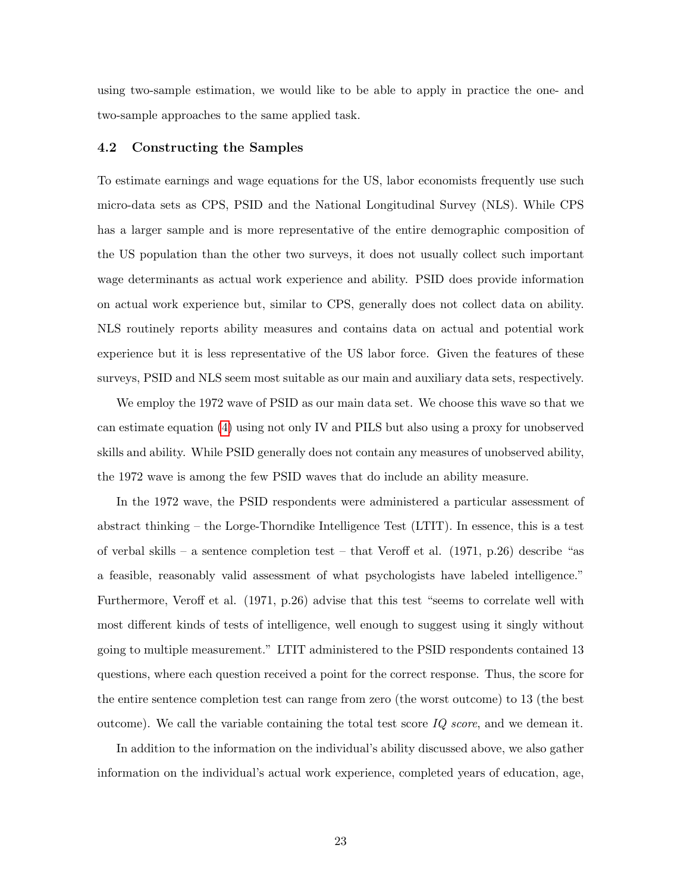using two-sample estimation, we would like to be able to apply in practice the one- and two-sample approaches to the same applied task.

#### 4.2 Constructing the Samples

To estimate earnings and wage equations for the US, labor economists frequently use such micro-data sets as CPS, PSID and the National Longitudinal Survey (NLS). While CPS has a larger sample and is more representative of the entire demographic composition of the US population than the other two surveys, it does not usually collect such important wage determinants as actual work experience and ability. PSID does provide information on actual work experience but, similar to CPS, generally does not collect data on ability. NLS routinely reports ability measures and contains data on actual and potential work experience but it is less representative of the US labor force. Given the features of these surveys, PSID and NLS seem most suitable as our main and auxiliary data sets, respectively.

We employ the 1972 wave of PSID as our main data set. We choose this wave so that we can estimate equation [\(4\)](#page-22-1) using not only IV and PILS but also using a proxy for unobserved skills and ability. While PSID generally does not contain any measures of unobserved ability, the 1972 wave is among the few PSID waves that do include an ability measure.

In the 1972 wave, the PSID respondents were administered a particular assessment of abstract thinking – the Lorge-Thorndike Intelligence Test (LTIT). In essence, this is a test of verbal skills – a sentence completion test – that Veroff et al. (1971, p.26) describe "as a feasible, reasonably valid assessment of what psychologists have labeled intelligence." Furthermore, Veroff et al. (1971, p.26) advise that this test "seems to correlate well with most different kinds of tests of intelligence, well enough to suggest using it singly without going to multiple measurement." LTIT administered to the PSID respondents contained 13 questions, where each question received a point for the correct response. Thus, the score for the entire sentence completion test can range from zero (the worst outcome) to 13 (the best outcome). We call the variable containing the total test score  $IQ\ score$ , and we demean it.

In addition to the information on the individual's ability discussed above, we also gather information on the individual's actual work experience, completed years of education, age,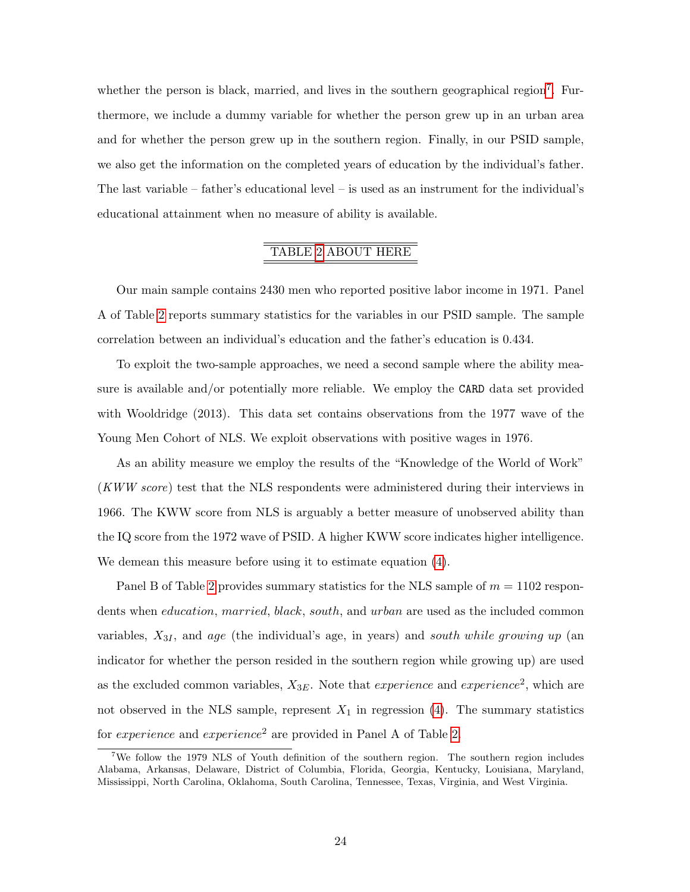whether the person is black, married, and lives in the southern geographical region<sup>[7](#page-24-0)</sup>. Furthermore, we include a dummy variable for whether the person grew up in an urban area and for whether the person grew up in the southern region. Finally, in our PSID sample, we also get the information on the completed years of education by the individual's father. The last variable – father's educational level – is used as an instrument for the individual's educational attainment when no measure of ability is available.

## TABLE [2](#page-38-0) ABOUT HERE

Our main sample contains 2430 men who reported positive labor income in 1971. Panel A of Table [2](#page-38-0) reports summary statistics for the variables in our PSID sample. The sample correlation between an individual's education and the father's education is 0.434.

To exploit the two-sample approaches, we need a second sample where the ability measure is available and/or potentially more reliable. We employ the CARD data set provided with Wooldridge (2013). This data set contains observations from the 1977 wave of the Young Men Cohort of NLS. We exploit observations with positive wages in 1976.

As an ability measure we employ the results of the "Knowledge of the World of Work" (KWW score) test that the NLS respondents were administered during their interviews in 1966. The KWW score from NLS is arguably a better measure of unobserved ability than the IQ score from the 1972 wave of PSID. A higher KWW score indicates higher intelligence. We demean this measure before using it to estimate equation [\(4\)](#page-22-1).

Panel B of Table [2](#page-38-0) provides summary statistics for the NLS sample of  $m = 1102$  respondents when education, married, black, south, and urban are used as the included common variables,  $X_{3I}$ , and age (the individual's age, in years) and south while growing up (an indicator for whether the person resided in the southern region while growing up) are used as the excluded common variables,  $X_{3E}$ . Note that *experience* and *experience*<sup>2</sup>, which are not observed in the NLS sample, represent  $X_1$  in regression [\(4\)](#page-22-1). The summary statistics for *experience* and *experience*<sup>2</sup> are provided in Panel A of Table [2.](#page-38-0)

<span id="page-24-0"></span><sup>&</sup>lt;sup>7</sup>We follow the 1979 NLS of Youth definition of the southern region. The southern region includes Alabama, Arkansas, Delaware, District of Columbia, Florida, Georgia, Kentucky, Louisiana, Maryland, Mississippi, North Carolina, Oklahoma, South Carolina, Tennessee, Texas, Virginia, and West Virginia.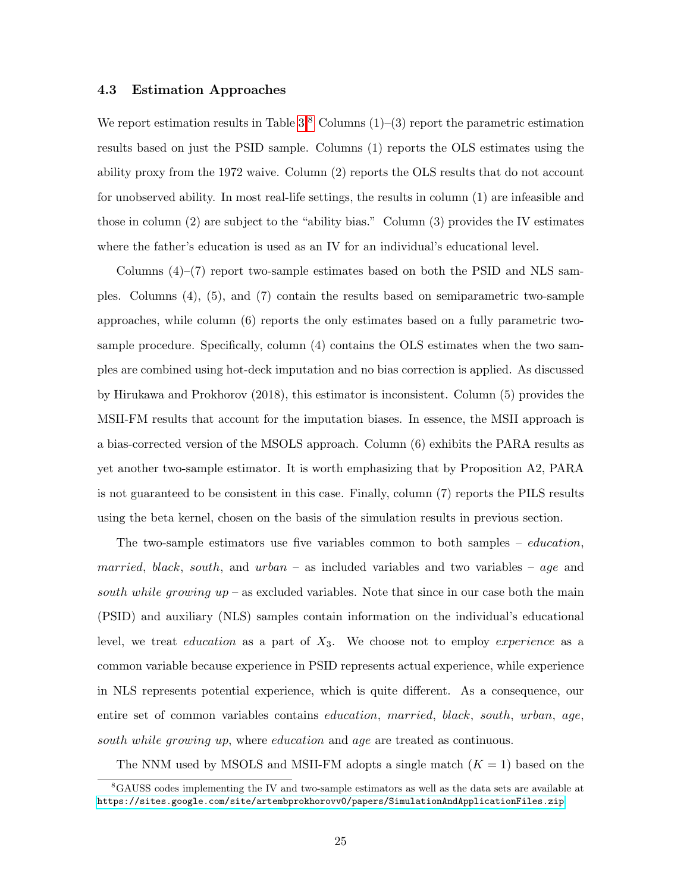#### 4.3 Estimation Approaches

We report estimation results in Table  $3.8$  $3.8$  Columns  $(1)-(3)$  report the parametric estimation results based on just the PSID sample. Columns (1) reports the OLS estimates using the ability proxy from the 1972 waive. Column (2) reports the OLS results that do not account for unobserved ability. In most real-life settings, the results in column (1) are infeasible and those in column (2) are subject to the "ability bias." Column (3) provides the IV estimates where the father's education is used as an IV for an individual's educational level.

Columns  $(4)$ – $(7)$  report two-sample estimates based on both the PSID and NLS samples. Columns (4), (5), and (7) contain the results based on semiparametric two-sample approaches, while column (6) reports the only estimates based on a fully parametric twosample procedure. Specifically, column (4) contains the OLS estimates when the two samples are combined using hot-deck imputation and no bias correction is applied. As discussed by Hirukawa and Prokhorov (2018), this estimator is inconsistent. Column (5) provides the MSII-FM results that account for the imputation biases. In essence, the MSII approach is a bias-corrected version of the MSOLS approach. Column (6) exhibits the PARA results as yet another two-sample estimator. It is worth emphasizing that by Proposition A2, PARA is not guaranteed to be consistent in this case. Finally, column (7) reports the PILS results using the beta kernel, chosen on the basis of the simulation results in previous section.

The two-sample estimators use five variables common to both samples – *education*, married, black, south, and  $urban -$  as included variables and two variables – age and south while growing  $up$  – as excluded variables. Note that since in our case both the main (PSID) and auxiliary (NLS) samples contain information on the individual's educational level, we treat *education* as a part of  $X_3$ . We choose not to employ *experience* as a common variable because experience in PSID represents actual experience, while experience in NLS represents potential experience, which is quite different. As a consequence, our entire set of common variables contains education, married, black, south, urban, age, south while growing up, where education and age are treated as continuous.

<span id="page-25-0"></span>The NNM used by MSOLS and MSII-FM adopts a single match  $(K = 1)$  based on the

<sup>8</sup>GAUSS codes implementing the IV and two-sample estimators as well as the data sets are available at <https://sites.google.com/site/artembprokhorovv0/papers/SimulationAndApplicationFiles.zip>.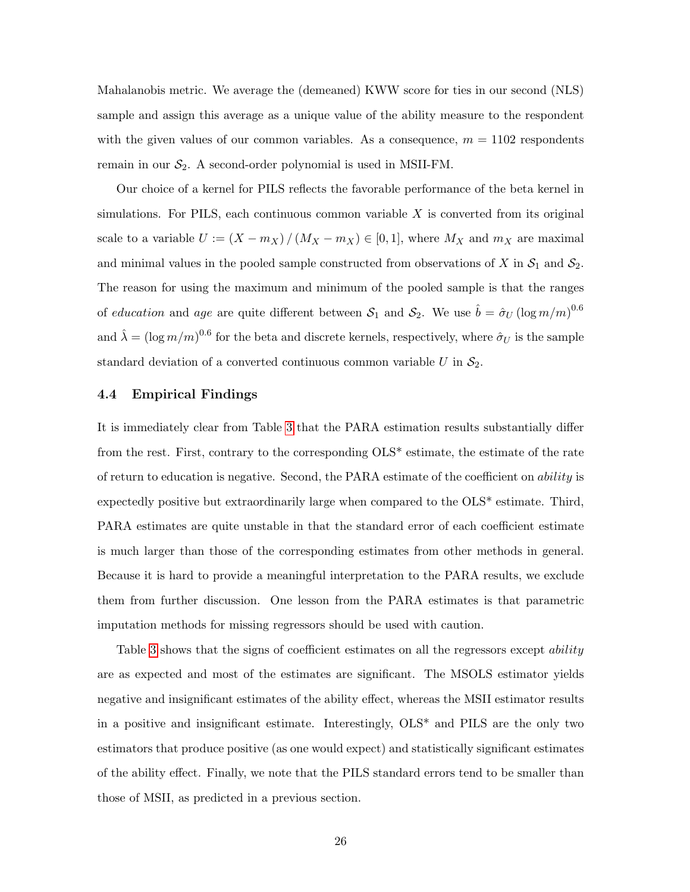Mahalanobis metric. We average the (demeaned) KWW score for ties in our second (NLS) sample and assign this average as a unique value of the ability measure to the respondent with the given values of our common variables. As a consequence,  $m = 1102$  respondents remain in our  $S_2$ . A second-order polynomial is used in MSII-FM.

Our choice of a kernel for PILS reflects the favorable performance of the beta kernel in simulations. For PILS, each continuous common variable  $X$  is converted from its original scale to a variable  $U := (X - m_X) / (M_X - m_X) \in [0, 1]$ , where  $M_X$  and  $m_X$  are maximal and minimal values in the pooled sample constructed from observations of X in  $S_1$  and  $S_2$ . The reason for using the maximum and minimum of the pooled sample is that the ranges of education and age are quite different between  $S_1$  and  $S_2$ . We use  $\hat{b} = \hat{\sigma}_U (\log m/m)^{0.6}$ and  $\hat{\lambda} = (\log m/m)^{0.6}$  for the beta and discrete kernels, respectively, where  $\hat{\sigma}_U$  is the sample standard deviation of a converted continuous common variable  $U$  in  $\mathcal{S}_2$ .

#### 4.4 Empirical Findings

It is immediately clear from Table [3](#page-39-0) that the PARA estimation results substantially differ from the rest. First, contrary to the corresponding OLS\* estimate, the estimate of the rate of return to education is negative. Second, the PARA estimate of the coefficient on ability is expectedly positive but extraordinarily large when compared to the OLS\* estimate. Third, PARA estimates are quite unstable in that the standard error of each coefficient estimate is much larger than those of the corresponding estimates from other methods in general. Because it is hard to provide a meaningful interpretation to the PARA results, we exclude them from further discussion. One lesson from the PARA estimates is that parametric imputation methods for missing regressors should be used with caution.

Table [3](#page-39-0) shows that the signs of coefficient estimates on all the regressors except *ability* are as expected and most of the estimates are significant. The MSOLS estimator yields negative and insignificant estimates of the ability effect, whereas the MSII estimator results in a positive and insignificant estimate. Interestingly, OLS\* and PILS are the only two estimators that produce positive (as one would expect) and statistically significant estimates of the ability effect. Finally, we note that the PILS standard errors tend to be smaller than those of MSII, as predicted in a previous section.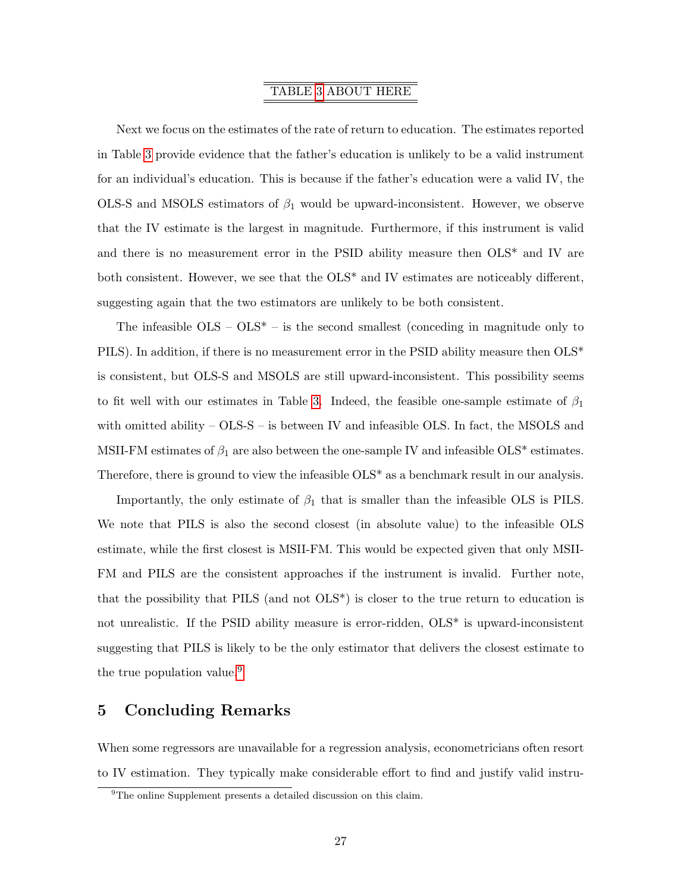### TABLE [3](#page-39-0) ABOUT HERE

Next we focus on the estimates of the rate of return to education. The estimates reported in Table [3](#page-39-0) provide evidence that the father's education is unlikely to be a valid instrument for an individual's education. This is because if the father's education were a valid IV, the OLS-S and MSOLS estimators of  $\beta_1$  would be upward-inconsistent. However, we observe that the IV estimate is the largest in magnitude. Furthermore, if this instrument is valid and there is no measurement error in the PSID ability measure then OLS\* and IV are both consistent. However, we see that the OLS\* and IV estimates are noticeably different, suggesting again that the two estimators are unlikely to be both consistent.

The infeasible  $OLS - OLS^* -$  is the second smallest (conceding in magnitude only to PILS). In addition, if there is no measurement error in the PSID ability measure then  $OLS^*$ is consistent, but OLS-S and MSOLS are still upward-inconsistent. This possibility seems to fit well with our estimates in Table [3.](#page-39-0) Indeed, the feasible one-sample estimate of  $\beta_1$ with omitted ability  $-$  OLS-S  $-$  is between IV and infeasible OLS. In fact, the MSOLS and MSII-FM estimates of  $\beta_1$  are also between the one-sample IV and infeasible OLS\* estimates. Therefore, there is ground to view the infeasible OLS\* as a benchmark result in our analysis.

Importantly, the only estimate of  $\beta_1$  that is smaller than the infeasible OLS is PILS. We note that PILS is also the second closest (in absolute value) to the infeasible OLS estimate, while the first closest is MSII-FM. This would be expected given that only MSII-FM and PILS are the consistent approaches if the instrument is invalid. Further note, that the possibility that PILS (and not OLS\*) is closer to the true return to education is not unrealistic. If the PSID ability measure is error-ridden, OLS\* is upward-inconsistent suggesting that PILS is likely to be the only estimator that delivers the closest estimate to the true population value.<sup>[9](#page-27-0)</sup>

### 5 Concluding Remarks

When some regressors are unavailable for a regression analysis, econometricians often resort to IV estimation. They typically make considerable effort to find and justify valid instru-

<span id="page-27-0"></span> $^{9}$  The online Supplement presents a detailed discussion on this claim.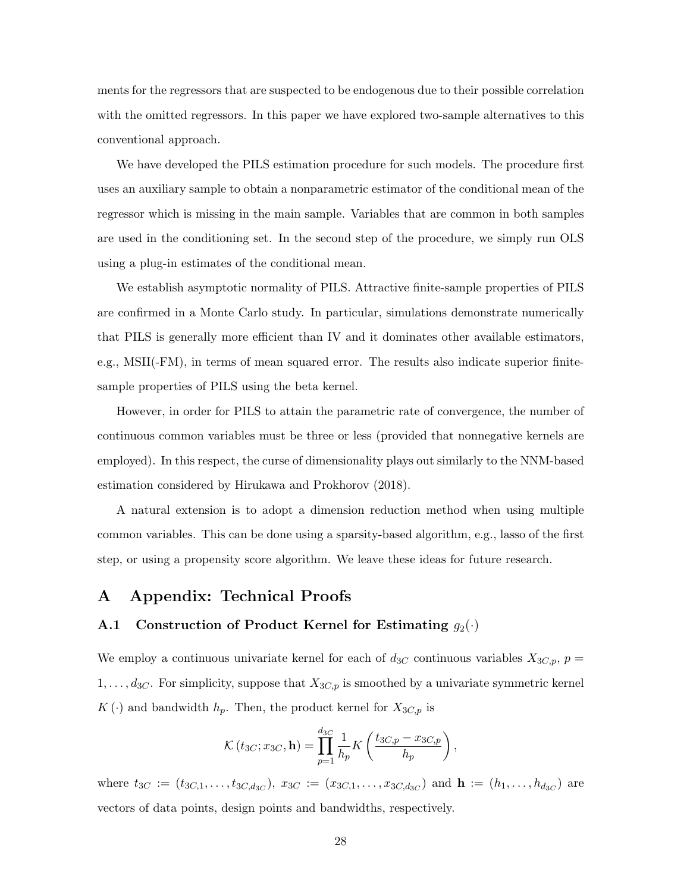ments for the regressors that are suspected to be endogenous due to their possible correlation with the omitted regressors. In this paper we have explored two-sample alternatives to this conventional approach.

We have developed the PILS estimation procedure for such models. The procedure first uses an auxiliary sample to obtain a nonparametric estimator of the conditional mean of the regressor which is missing in the main sample. Variables that are common in both samples are used in the conditioning set. In the second step of the procedure, we simply run OLS using a plug-in estimates of the conditional mean.

We establish asymptotic normality of PILS. Attractive finite-sample properties of PILS are confirmed in a Monte Carlo study. In particular, simulations demonstrate numerically that PILS is generally more efficient than IV and it dominates other available estimators, e.g., MSII(-FM), in terms of mean squared error. The results also indicate superior finitesample properties of PILS using the beta kernel.

However, in order for PILS to attain the parametric rate of convergence, the number of continuous common variables must be three or less (provided that nonnegative kernels are employed). In this respect, the curse of dimensionality plays out similarly to the NNM-based estimation considered by Hirukawa and Prokhorov (2018).

A natural extension is to adopt a dimension reduction method when using multiple common variables. This can be done using a sparsity-based algorithm, e.g., lasso of the first step, or using a propensity score algorithm. We leave these ideas for future research.

### A Appendix: Technical Proofs

### <span id="page-28-0"></span>A.1 Construction of Product Kernel for Estimating  $g_2(\cdot)$

We employ a continuous univariate kernel for each of  $d_{3C}$  continuous variables  $X_{3C,p}, p =$  $1, \ldots, d_{3C}$ . For simplicity, suppose that  $X_{3C,p}$  is smoothed by a univariate symmetric kernel  $K(\cdot)$  and bandwidth  $h_p$ . Then, the product kernel for  $X_{3C,p}$  is

$$
\mathcal{K}\left(t_{3C};x_{3C},\mathbf{h}\right) = \prod_{p=1}^{d_{3C}} \frac{1}{h_p} K\left(\frac{t_{3C,p} - x_{3C,p}}{h_p}\right),\,
$$

where  $t_{3C} := (t_{3C,1}, \ldots, t_{3C,d_{3C}}), x_{3C} := (x_{3C,1}, \ldots, x_{3C,d_{3C}})$  and  $\mathbf{h} := (h_1, \ldots, h_{d_{3C}})$  are vectors of data points, design points and bandwidths, respectively.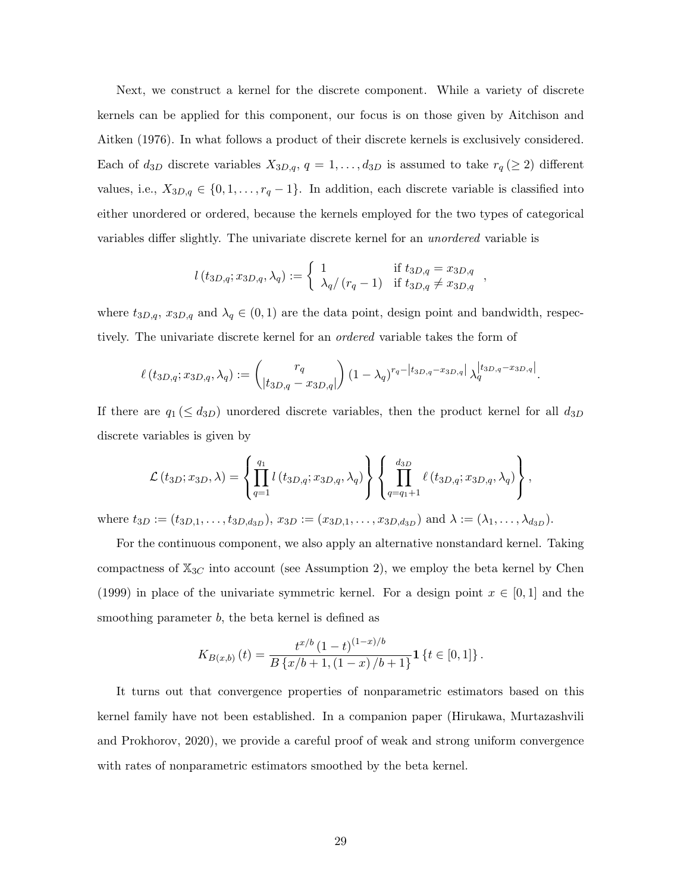Next, we construct a kernel for the discrete component. While a variety of discrete kernels can be applied for this component, our focus is on those given by Aitchison and Aitken (1976). In what follows a product of their discrete kernels is exclusively considered. Each of  $d_{3D}$  discrete variables  $X_{3D,q}$ ,  $q = 1, \ldots, d_{3D}$  is assumed to take  $r_q (\geq 2)$  different values, i.e.,  $X_{3D,q} \in \{0, 1, \ldots, r_q - 1\}$ . In addition, each discrete variable is classified into either unordered or ordered, because the kernels employed for the two types of categorical variables differ slightly. The univariate discrete kernel for an unordered variable is

$$
l(t_{3D,q}; x_{3D,q}, \lambda_q) := \begin{cases} 1 & \text{if } t_{3D,q} = x_{3D,q} \\ \lambda_q/(r_q-1) & \text{if } t_{3D,q} \neq x_{3D,q} \end{cases}
$$

where  $t_{3D,q}$ ,  $x_{3D,q}$  and  $\lambda_q \in (0,1)$  are the data point, design point and bandwidth, respectively. The univariate discrete kernel for an ordered variable takes the form of

$$
\ell(t_{3D,q}; x_{3D,q}, \lambda_q) := \binom{r_q}{|t_{3D,q} - x_{3D,q}|} (1 - \lambda_q)^{r_q - |t_{3D,q} - x_{3D,q}|} \lambda_q^{|t_{3D,q} - x_{3D,q}|}.
$$

If there are  $q_1 \leq d_{3D}$  unordered discrete variables, then the product kernel for all  $d_{3D}$ discrete variables is given by

$$
\mathcal{L}(t_{3D};x_{3D},\lambda)=\left\{\prod_{q=1}^{q_1}l(t_{3D,q};x_{3D,q},\lambda_q)\right\}\left\{\prod_{q=q_1+1}^{d_{3D}}\ell(t_{3D,q};x_{3D,q},\lambda_q)\right\},\,
$$

where  $t_{3D} := (t_{3D,1}, \ldots, t_{3D,d_{3D}}), x_{3D} := (x_{3D,1}, \ldots, x_{3D,d_{3D}})$  and  $\lambda := (\lambda_1, \ldots, \lambda_{d_{3D}}).$ 

For the continuous component, we also apply an alternative nonstandard kernel. Taking compactness of  $\mathbb{X}_{3C}$  into account (see Assumption 2), we employ the beta kernel by Chen (1999) in place of the univariate symmetric kernel. For a design point  $x \in [0,1]$  and the smoothing parameter b, the beta kernel is defined as

$$
K_{B(x,b)}(t) = \frac{t^{x/b} (1-t)^{(1-x)/b}}{B\{x/b+1, (1-x)/b+1\}} \mathbf{1}\left\{t \in [0,1]\right\}.
$$

It turns out that convergence properties of nonparametric estimators based on this kernel family have not been established. In a companion paper (Hirukawa, Murtazashvili and Prokhorov, 2020), we provide a careful proof of weak and strong uniform convergence with rates of nonparametric estimators smoothed by the beta kernel.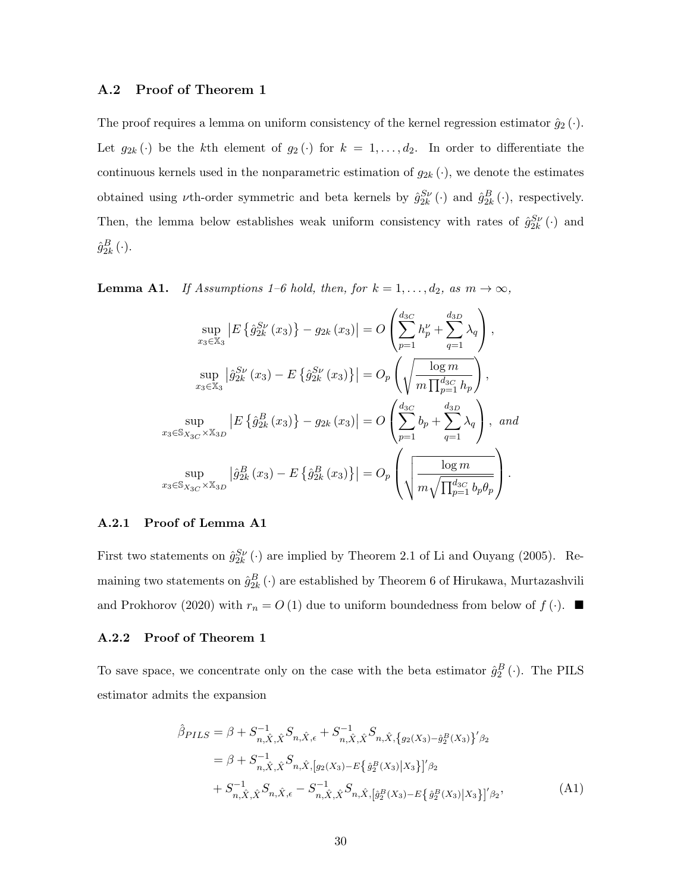#### A.2 Proof of Theorem 1

The proof requires a lemma on uniform consistency of the kernel regression estimator  $\hat{g}_2(\cdot)$ . Let  $g_{2k}(\cdot)$  be the kth element of  $g_2(\cdot)$  for  $k = 1, \ldots, d_2$ . In order to differentiate the continuous kernels used in the nonparametric estimation of  $g_{2k}(\cdot)$ , we denote the estimates obtained using  $\nu$ th-order symmetric and beta kernels by  $\hat{g}_{2k}^{S\nu}(\cdot)$  and  $\hat{g}_{2k}^{B}(\cdot)$ , respectively. Then, the lemma below establishes weak uniform consistency with rates of  $\hat{g}_{2k}^{S\nu}(\cdot)$  and  $\hat{g}_{2k}^B\left(\cdot\right)$ .

**Lemma A1.** If Assumptions 1–6 hold, then, for  $k = 1, ..., d_2$ , as  $m \to \infty$ ,

$$
\sup_{x_3 \in \mathbb{X}_3} |E \{\hat{g}_{2k}^{S\nu}(x_3)\} - g_{2k}(x_3)| = O\left(\sum_{p=1}^{d_{3C}} h'_p + \sum_{q=1}^{d_{3D}} \lambda_q\right),
$$
  
\n
$$
\sup_{x_3 \in \mathbb{X}_3} |\hat{g}_{2k}^{S\nu}(x_3) - E \{\hat{g}_{2k}^{S\nu}(x_3)\}| = O_p\left(\sqrt{\frac{\log m}{m \prod_{p=1}^{d_{3C}} h_p}}\right),
$$
  
\n
$$
\sup_{x_3 \in \mathbb{S}_{X_{3C}} \times \mathbb{X}_{3D}} |E \{\hat{g}_{2k}^B(x_3)\} - g_{2k}(x_3)| = O\left(\sum_{p=1}^{d_{3C}} b_p + \sum_{q=1}^{d_{3D}} \lambda_q\right), and
$$
  
\n
$$
\sup_{x_3 \in \mathbb{S}_{X_{3C}} \times \mathbb{X}_{3D}} |\hat{g}_{2k}^B(x_3) - E \{\hat{g}_{2k}^B(x_3)\}| = O_p\left(\sqrt{\frac{\log m}{m \sqrt{\prod_{p=1}^{d_{3C}} b_p \theta_p}}}\right).
$$

#### A.2.1 Proof of Lemma A1

First two statements on  $\hat{g}_{2k}^{S\nu}(\cdot)$  are implied by Theorem 2.1 of Li and Ouyang (2005). Remaining two statements on  $\hat{g}_{2k}^B\left(\cdot\right)$  are established by Theorem 6 of Hirukawa, Murtazashvili and Prokhorov (2020) with  $r_n = O(1)$  due to uniform boundedness from below of  $f(\cdot)$ .

#### A.2.2 Proof of Theorem 1

To save space, we concentrate only on the case with the beta estimator  $\hat{g}_2^B(\cdot)$ . The PILS estimator admits the expansion

<span id="page-30-0"></span>
$$
\hat{\beta}_{PLLS} = \beta + S_{n,\hat{X},\hat{X}}^{-1} S_{n,\hat{X},\hat{X}} - S_{n,\hat{X},\hat{X}}^{-1} S_{n,\hat{X},\{g_2(X_3) - \hat{g}_2^B(X_3)\}}' \beta_2 \n= \beta + S_{n,\hat{X},\hat{X}}^{-1} S_{n,\hat{X},\{g_2(X_3) - E\{\hat{g}_2^B(X_3) | X_3\}}' \beta_2 \n+ S_{n,\hat{X},\hat{X}}^{-1} S_{n,\hat{X},\hat{\epsilon}} - S_{n,\hat{X},\hat{X}}^{-1} S_{n,\hat{X},\{\hat{g}_2^B(X_3) - E\{\hat{g}_2^B(X_3) | X_3\}}' \beta_2
$$
\n(A1)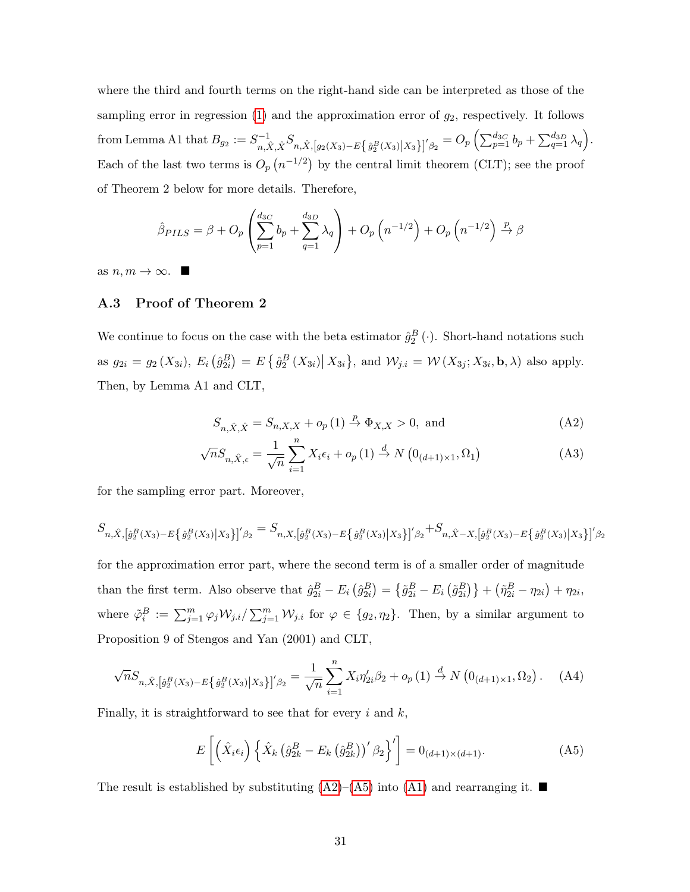where the third and fourth terms on the right-hand side can be interpreted as those of the sampling error in regression  $(1)$  and the approximation error of  $g_2$ , respectively. It follows from Lemma A1 that  $B_{g_2} := S_{g_2}^{-1}$  $\sum_{p=1}^{n-1} \delta_{p}^{S} \hat{X}_{p} \hat{X}_{p} = \sum_{p=1}^{n} \delta_{p}^{B}(X_{3}) \hat{X}_{3} \hat{X}_{p} = O_{p} \left( \sum_{p=1}^{d_{3C}} b_{p} + \sum_{q=1}^{d_{3D}} \lambda_{q} \right).$ Each of the last two terms is  $O_p(n^{-1/2})$  by the central limit theorem (CLT); see the proof of Theorem 2 below for more details. Therefore,

$$
\hat{\beta}_{PLS} = \beta + O_p \left( \sum_{p=1}^{d_{3C}} b_p + \sum_{q=1}^{d_{3D}} \lambda_q \right) + O_p \left( n^{-1/2} \right) + O_p \left( n^{-1/2} \right) \stackrel{p}{\rightarrow} \beta
$$

as  $n, m \to \infty$ .

### A.3 Proof of Theorem 2

We continue to focus on the case with the beta estimator  $\hat{g}_2^B(\cdot)$ . Short-hand notations such as  $g_{2i} = g_2(X_{3i}), E_i(\hat{g}_{2i}^B) = E\{\hat{g}_2^B(X_{3i}) | X_{3i}\}, \text{ and } \mathcal{W}_{j,i} = \mathcal{W}(X_{3j}; X_{3i}, \mathbf{b}, \lambda) \text{ also apply.}$ Then, by Lemma A1 and CLT,

<span id="page-31-0"></span>
$$
S_{n,\hat{X},\hat{X}} = S_{n,X,X} + o_p(1) \xrightarrow{p} \Phi_{X,X} > 0, \text{ and} \tag{A2}
$$

$$
\sqrt{n}S_{n,\hat{X},\epsilon} = \frac{1}{\sqrt{n}}\sum_{i=1}^{n} X_i \epsilon_i + o_p(1) \stackrel{d}{\to} N\left(0_{(d+1)\times 1}, \Omega_1\right)
$$
(A3)

for the sampling error part. Moreover,

$$
S_{n,\hat{X},\left[\hat{g}_{2}^{B}(X_{3})-E\left\{\hat{g}_{2}^{B}(X_{3})|X_{3}\right\}\right]'\beta_{2}}=S_{n,X,\left[\hat{g}_{2}^{B}(X_{3})-E\left\{\hat{g}_{2}^{B}(X_{3})|X_{3}\right\}\right]'\beta_{2}}+S_{n,\hat{X}-X,\left[\hat{g}_{2}^{B}(X_{3})-E\left\{\hat{g}_{2}^{B}(X_{3})|X_{3}\right\}\right]'\beta_{2}}
$$

for the approximation error part, where the second term is of a smaller order of magnitude than the first term. Also observe that  $\hat{g}_{2i}^B - E_i \left( \hat{g}_{2i}^B \right) = \left\{ \tilde{g}_{2i}^B - E_i \left( \tilde{g}_{2i}^B \right) \right\} + \left( \tilde{\eta}_{2i}^B - \eta_{2i} \right) + \eta_{2i}$ , where  $\tilde{\varphi}_i^B := \sum_{j=1}^m \varphi_j \mathcal{W}_{j,i} / \sum_{j=1}^m \mathcal{W}_{j,i}$  for  $\varphi \in \{g_2, \eta_2\}$ . Then, by a similar argument to Proposition 9 of Stengos and Yan (2001) and CLT,

$$
\sqrt{n}S_{n,\hat{X},\left[\hat{g}_{2}^{B}(X_{3})-E\left\{\hat{g}_{2}^{B}(X_{3})|X_{3}\right\}\right]'\beta_{2}}=\frac{1}{\sqrt{n}}\sum_{i=1}^{n}X_{i}\eta_{2i}'\beta_{2}+o_{p}(1)\stackrel{d}{\to}N\left(0_{(d+1)\times 1},\Omega_{2}\right).
$$
 (A4)

Finally, it is straightforward to see that for every  $i$  and  $k$ ,

<span id="page-31-1"></span>
$$
E\left[\left(\hat{X}_i\epsilon_i\right)\left\{\hat{X}_k\left(\hat{g}_{2k}^B - E_k\left(\hat{g}_{2k}^B\right)\right)'\beta_2\right\}'\right] = 0_{(d+1)\times(d+1)}.\tag{A5}
$$

The result is established by substituting  $(A2)$ – $(A5)$  into  $(A1)$  and rearranging it.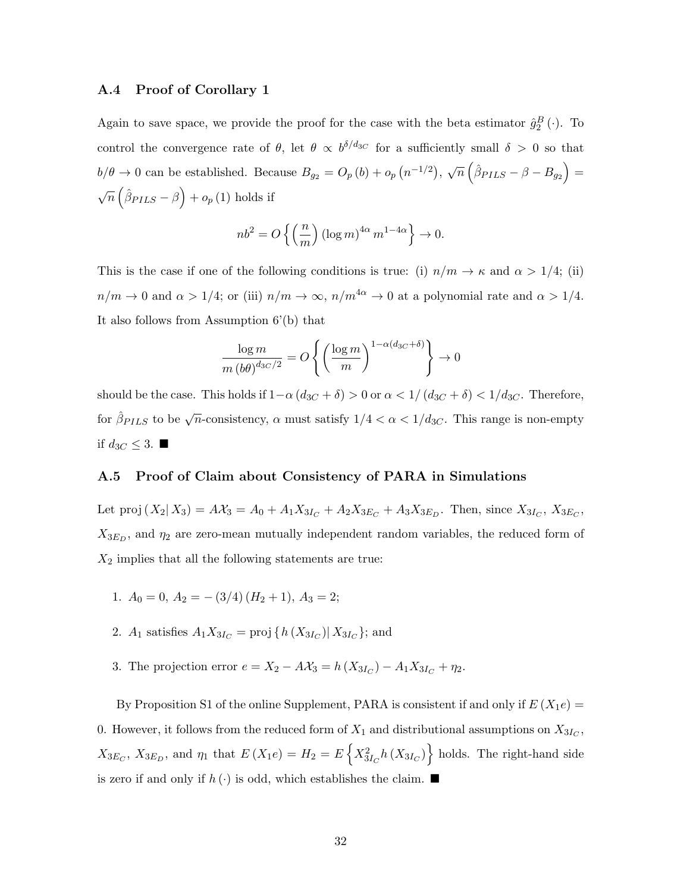#### <span id="page-32-0"></span>A.4 Proof of Corollary 1

Again to save space, we provide the proof for the case with the beta estimator  $\hat{g}_2^B(\cdot)$ . To control the convergence rate of  $\theta$ , let  $\theta \propto b^{\delta/d_{3C}}$  for a sufficiently small  $\delta > 0$  so that  $b/\theta \to 0$  can be established. Because  $B_{g_2} = O_p(b) + o_p(n^{-1/2}), \sqrt{n}(\hat{\beta}_{PLLS} - \beta - B_{g_2}) =$  $\sqrt{n} \left( \hat{\beta}_{PLLS} - \beta \right) + o_p(1)$  holds if

$$
nb^2 = O\left\{ \left( \frac{n}{m} \right) (\log m)^{4\alpha} m^{1-4\alpha} \right\} \to 0.
$$

This is the case if one of the following conditions is true: (i)  $n/m \to \kappa$  and  $\alpha > 1/4$ ; (ii)  $n/m \to 0$  and  $\alpha > 1/4$ ; or (iii)  $n/m \to \infty$ ,  $n/m^{4\alpha} \to 0$  at a polynomial rate and  $\alpha > 1/4$ . It also follows from Assumption 6'(b) that

$$
\frac{\log m}{m (b\theta)^{d_{3C}/2}} = O\left\{ \left(\frac{\log m}{m}\right)^{1-\alpha(d_{3C}+\delta)} \right\} \to 0
$$

should be the case. This holds if  $1-\alpha (d_{3C} + \delta) > 0$  or  $\alpha < 1/(d_{3C} + \delta) < 1/d_{3C}$ . Therefore, for  $\hat{\beta}_{PLS}$  to be  $\sqrt{n}$ -consistency,  $\alpha$  must satisfy  $1/4 < \alpha < 1/d_{3C}$ . This range is non-empty if  $d_{3C}$  ≤ 3. ■

### A.5 Proof of Claim about Consistency of PARA in Simulations

Let proj  $(X_2|X_3) = A\mathcal{X}_3 = A_0 + A_1X_{3I_C} + A_2X_{3E_C} + A_3X_{3E_D}$ . Then, since  $X_{3I_C}$ ,  $X_{3E_C}$ ,  $X_{3E_D}$ , and  $\eta_2$  are zero-mean mutually independent random variables, the reduced form of  $X_2$  implies that all the following statements are true:

- 1.  $A_0 = 0$ ,  $A_2 = -(3/4) (H_2 + 1)$ ,  $A_3 = 2$ ;
- 2.  $A_1$  satisfies  $A_1 X_{3I_C} = \text{proj}\left\{h(X_{3I_C}) | X_{3I_C}\right\}$ ; and
- 3. The projection error  $e = X_2 AX_3 = h(X_{3I_C}) A_1X_{3I_C} + \eta_2$ .

By Proposition S1 of the online Supplement, PARA is consistent if and only if  $E(X_1e)$  = 0. However, it follows from the reduced form of  $X_1$  and distributional assumptions on  $X_{3I_C}$ ,  $X_{3E_C}$ ,  $X_{3E_D}$ , and  $\eta_1$  that  $E(X_1e) = H_2 = E\left\{X_{3I_C}^2h(X_{3I_C})\right\}$  holds. The right-hand side is zero if and only if  $h(\cdot)$  is odd, which establishes the claim.  $\blacksquare$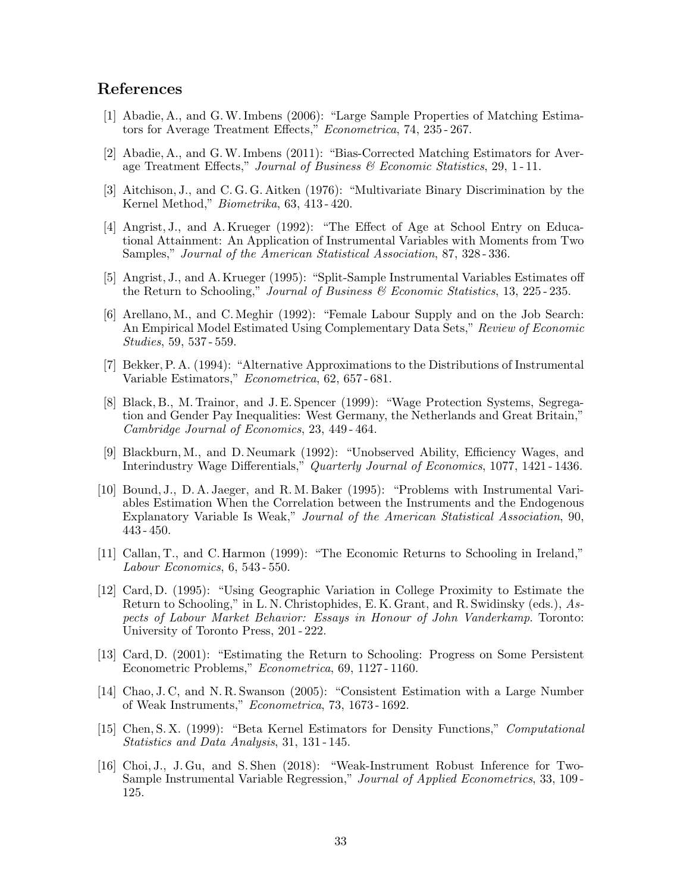### References

- [1] Abadie, A., and G.W. Imbens (2006): "Large Sample Properties of Matching Estimators for Average Treatment Effects," Econometrica, 74, 235 - 267.
- [2] Abadie, A., and G.W. Imbens (2011): "Bias-Corrected Matching Estimators for Average Treatment Effects," Journal of Business & Economic Statistics, 29, 1-11.
- [3] Aitchison, J., and C. G. G. Aitken (1976): "Multivariate Binary Discrimination by the Kernel Method," Biometrika, 63, 413 - 420.
- [4] Angrist, J., and A. Krueger (1992): "The Effect of Age at School Entry on Educational Attainment: An Application of Instrumental Variables with Moments from Two Samples," Journal of the American Statistical Association, 87, 328 - 336.
- [5] Angrist, J., and A. Krueger (1995): "Split-Sample Instrumental Variables Estimates off the Return to Schooling," Journal of Business  $\mathscr$  Economic Statistics, 13, 225-235.
- [6] Arellano, M., and C. Meghir (1992): "Female Labour Supply and on the Job Search: An Empirical Model Estimated Using Complementary Data Sets," Review of Economic Studies, 59, 537 - 559.
- [7] Bekker, P. A. (1994): "Alternative Approximations to the Distributions of Instrumental Variable Estimators," Econometrica, 62, 657 - 681.
- [8] Black, B., M. Trainor, and J. E. Spencer (1999): "Wage Protection Systems, Segregation and Gender Pay Inequalities: West Germany, the Netherlands and Great Britain," Cambridge Journal of Economics, 23, 449 - 464.
- [9] Blackburn, M., and D. Neumark (1992): "Unobserved Ability, Efficiency Wages, and Interindustry Wage Differentials," Quarterly Journal of Economics, 1077, 1421 - 1436.
- [10] Bound, J., D. A. Jaeger, and R. M. Baker (1995): "Problems with Instrumental Variables Estimation When the Correlation between the Instruments and the Endogenous Explanatory Variable Is Weak," Journal of the American Statistical Association, 90, 443 - 450.
- [11] Callan, T., and C. Harmon (1999): "The Economic Returns to Schooling in Ireland," Labour Economics, 6, 543 - 550.
- [12] Card, D. (1995): "Using Geographic Variation in College Proximity to Estimate the Return to Schooling," in L. N. Christophides, E. K. Grant, and R. Swidinsky (eds.), Aspects of Labour Market Behavior: Essays in Honour of John Vanderkamp. Toronto: University of Toronto Press, 201 - 222.
- [13] Card, D. (2001): "Estimating the Return to Schooling: Progress on Some Persistent Econometric Problems," Econometrica, 69, 1127 - 1160.
- [14] Chao, J. C, and N. R. Swanson (2005): "Consistent Estimation with a Large Number of Weak Instruments," Econometrica, 73, 1673 - 1692.
- [15] Chen, S. X. (1999): "Beta Kernel Estimators for Density Functions," Computational Statistics and Data Analysis, 31, 131 - 145.
- [16] Choi, J., J. Gu, and S. Shen (2018): "Weak-Instrument Robust Inference for Two-Sample Instrumental Variable Regression," Journal of Applied Econometrics, 33, 109 - 125.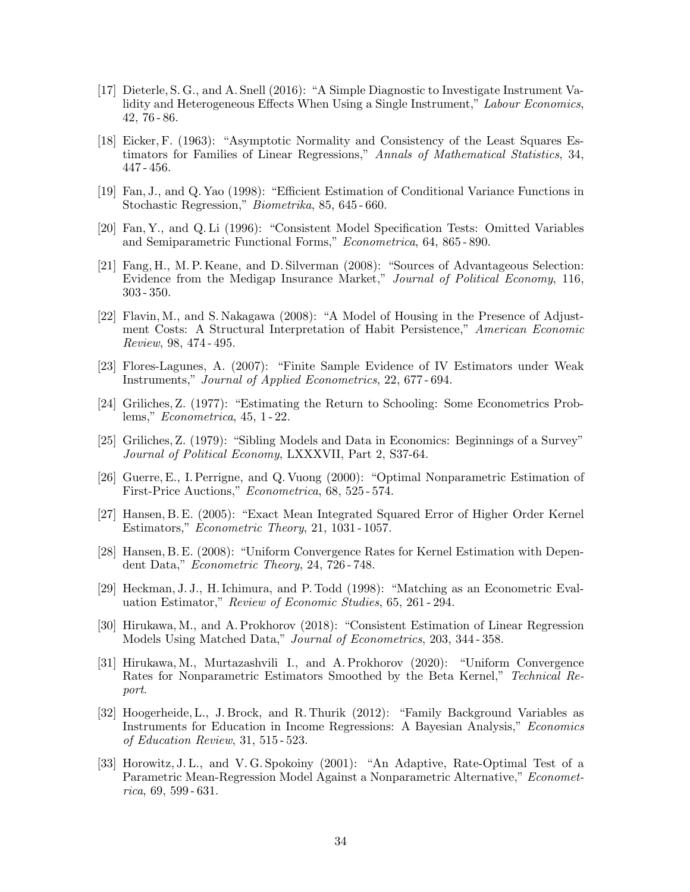- [17] Dieterle, S. G., and A. Snell (2016): "A Simple Diagnostic to Investigate Instrument Validity and Heterogeneous Effects When Using a Single Instrument," Labour Economics, 42, 76 - 86.
- [18] Eicker, F. (1963): "Asymptotic Normality and Consistency of the Least Squares Estimators for Families of Linear Regressions," Annals of Mathematical Statistics, 34, 447 - 456.
- [19] Fan, J., and Q. Yao (1998): "Efficient Estimation of Conditional Variance Functions in Stochastic Regression," Biometrika, 85, 645 - 660.
- [20] Fan, Y., and Q. Li (1996): "Consistent Model Specification Tests: Omitted Variables and Semiparametric Functional Forms," Econometrica, 64, 865 - 890.
- [21] Fang, H., M. P. Keane, and D. Silverman (2008): "Sources of Advantageous Selection: Evidence from the Medigap Insurance Market," Journal of Political Economy, 116, 303 - 350.
- [22] Flavin, M., and S. Nakagawa (2008): "A Model of Housing in the Presence of Adjustment Costs: A Structural Interpretation of Habit Persistence," American Economic Review, 98, 474 - 495.
- [23] Flores-Lagunes, A. (2007): "Finite Sample Evidence of IV Estimators under Weak Instruments," Journal of Applied Econometrics, 22, 677 - 694.
- [24] Griliches, Z. (1977): "Estimating the Return to Schooling: Some Econometrics Problems," Econometrica, 45, 1 - 22.
- [25] Griliches, Z. (1979): "Sibling Models and Data in Economics: Beginnings of a Survey" Journal of Political Economy, LXXXVII, Part 2, S37-64.
- [26] Guerre, E., I. Perrigne, and Q. Vuong (2000): "Optimal Nonparametric Estimation of First-Price Auctions," Econometrica, 68, 525 - 574.
- [27] Hansen, B. E. (2005): "Exact Mean Integrated Squared Error of Higher Order Kernel Estimators," Econometric Theory, 21, 1031 - 1057.
- [28] Hansen, B. E. (2008): "Uniform Convergence Rates for Kernel Estimation with Dependent Data," Econometric Theory, 24, 726 - 748.
- [29] Heckman, J. J., H. Ichimura, and P. Todd (1998): "Matching as an Econometric Evaluation Estimator," Review of Economic Studies, 65, 261 - 294.
- [30] Hirukawa, M., and A. Prokhorov (2018): "Consistent Estimation of Linear Regression Models Using Matched Data," Journal of Econometrics, 203, 344 - 358.
- [31] Hirukawa, M., Murtazashvili I., and A. Prokhorov (2020): "Uniform Convergence Rates for Nonparametric Estimators Smoothed by the Beta Kernel," Technical Report.
- [32] Hoogerheide, L., J. Brock, and R. Thurik (2012): "Family Background Variables as Instruments for Education in Income Regressions: A Bayesian Analysis," Economics of Education Review, 31, 515 - 523.
- [33] Horowitz, J. L., and V. G. Spokoiny (2001): "An Adaptive, Rate-Optimal Test of a Parametric Mean-Regression Model Against a Nonparametric Alternative," Econometrica, 69, 599 - 631.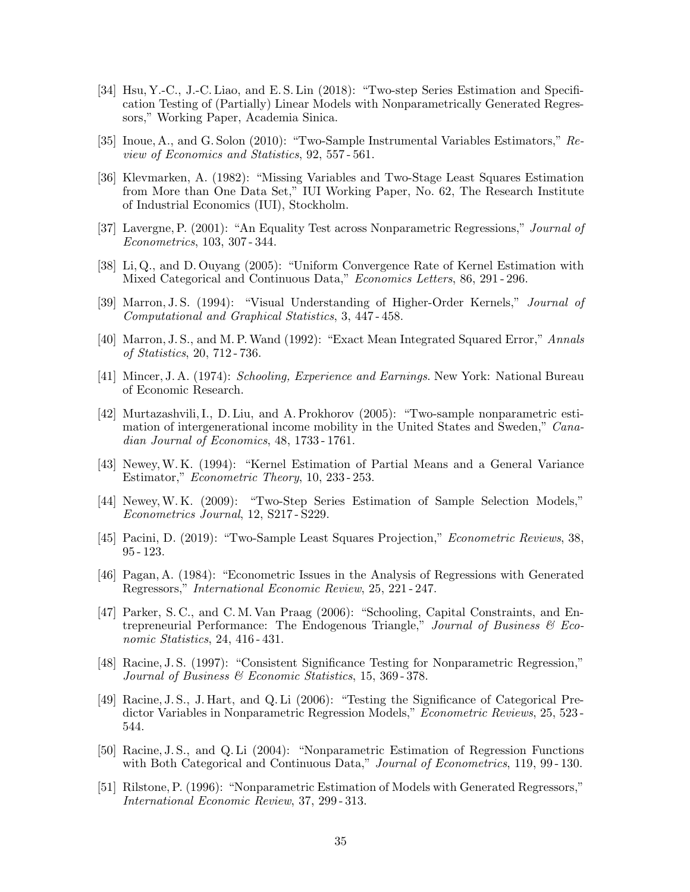- [34] Hsu, Y.-C., J.-C. Liao, and E. S. Lin (2018): "Two-step Series Estimation and Specification Testing of (Partially) Linear Models with Nonparametrically Generated Regressors," Working Paper, Academia Sinica.
- [35] Inoue, A., and G. Solon (2010): "Two-Sample Instrumental Variables Estimators," Review of Economics and Statistics, 92, 557 - 561.
- [36] Klevmarken, A. (1982): "Missing Variables and Two-Stage Least Squares Estimation from More than One Data Set," IUI Working Paper, No. 62, The Research Institute of Industrial Economics (IUI), Stockholm.
- [37] Lavergne, P. (2001): "An Equality Test across Nonparametric Regressions," Journal of Econometrics, 103, 307 - 344.
- [38] Li, Q., and D. Ouyang (2005): "Uniform Convergence Rate of Kernel Estimation with Mixed Categorical and Continuous Data," Economics Letters, 86, 291 - 296.
- [39] Marron, J. S. (1994): "Visual Understanding of Higher-Order Kernels," Journal of Computational and Graphical Statistics, 3, 447 - 458.
- [40] Marron, J. S., and M. P.Wand (1992): "Exact Mean Integrated Squared Error," Annals of Statistics, 20, 712 - 736.
- [41] Mincer, J. A. (1974): Schooling, Experience and Earnings. New York: National Bureau of Economic Research.
- [42] Murtazashvili, I., D. Liu, and A. Prokhorov (2005): "Two-sample nonparametric estimation of intergenerational income mobility in the United States and Sweden," Canadian Journal of Economics, 48, 1733 - 1761.
- [43] Newey,W. K. (1994): "Kernel Estimation of Partial Means and a General Variance Estimator," Econometric Theory, 10, 233 - 253.
- [44] Newey,W. K. (2009): "Two-Step Series Estimation of Sample Selection Models," Econometrics Journal, 12, S217 - S229.
- [45] Pacini, D. (2019): "Two-Sample Least Squares Projection," Econometric Reviews, 38, 95 - 123.
- [46] Pagan, A. (1984): "Econometric Issues in the Analysis of Regressions with Generated Regressors," International Economic Review, 25, 221 - 247.
- [47] Parker, S. C., and C. M. Van Praag (2006): "Schooling, Capital Constraints, and Entrepreneurial Performance: The Endogenous Triangle," Journal of Business  $\mathcal B$  Economic Statistics, 24, 416 - 431.
- [48] Racine, J. S. (1997): "Consistent Significance Testing for Nonparametric Regression," Journal of Business & Economic Statistics, 15, 369 - 378.
- [49] Racine, J. S., J. Hart, and Q. Li (2006): "Testing the Significance of Categorical Predictor Variables in Nonparametric Regression Models," Econometric Reviews, 25, 523 - 544.
- [50] Racine, J. S., and Q. Li (2004): "Nonparametric Estimation of Regression Functions with Both Categorical and Continuous Data," *Journal of Econometrics*, 119, 99-130.
- [51] Rilstone, P. (1996): "Nonparametric Estimation of Models with Generated Regressors," International Economic Review, 37, 299 - 313.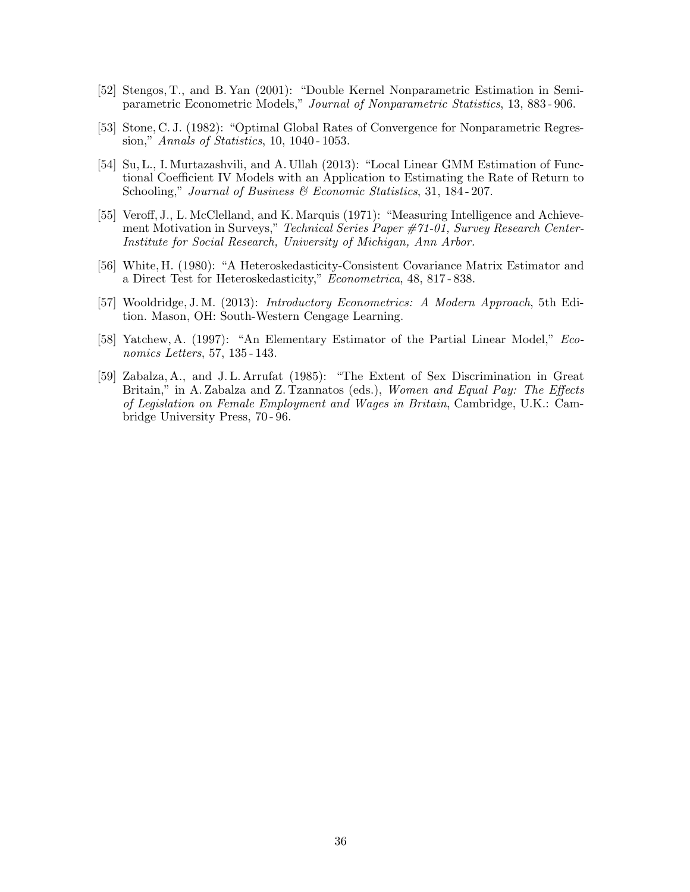- [52] Stengos, T., and B. Yan (2001): "Double Kernel Nonparametric Estimation in Semiparametric Econometric Models," Journal of Nonparametric Statistics, 13, 883 - 906.
- [53] Stone, C. J. (1982): "Optimal Global Rates of Convergence for Nonparametric Regression," Annals of Statistics, 10, 1040 - 1053.
- [54] Su, L., I. Murtazashvili, and A. Ullah (2013): "Local Linear GMM Estimation of Functional Coefficient IV Models with an Application to Estimating the Rate of Return to Schooling," Journal of Business & Economic Statistics, 31, 184-207.
- [55] Veroff, J., L. McClelland, and K. Marquis (1971): "Measuring Intelligence and Achievement Motivation in Surveys," Technical Series Paper #71-01, Survey Research Center-Institute for Social Research, University of Michigan, Ann Arbor.
- [56] White, H. (1980): "A Heteroskedasticity-Consistent Covariance Matrix Estimator and a Direct Test for Heteroskedasticity," Econometrica, 48, 817 - 838.
- [57] Wooldridge, J. M. (2013): Introductory Econometrics: A Modern Approach, 5th Edition. Mason, OH: South-Western Cengage Learning.
- [58] Yatchew, A. (1997): "An Elementary Estimator of the Partial Linear Model," Economics Letters, 57, 135 - 143.
- [59] Zabalza, A., and J. L. Arrufat (1985): "The Extent of Sex Discrimination in Great Britain," in A. Zabalza and Z. Tzannatos (eds.), Women and Equal Pay: The Effects of Legislation on Female Employment and Wages in Britain, Cambridge, U.K.: Cambridge University Press, 70 - 96.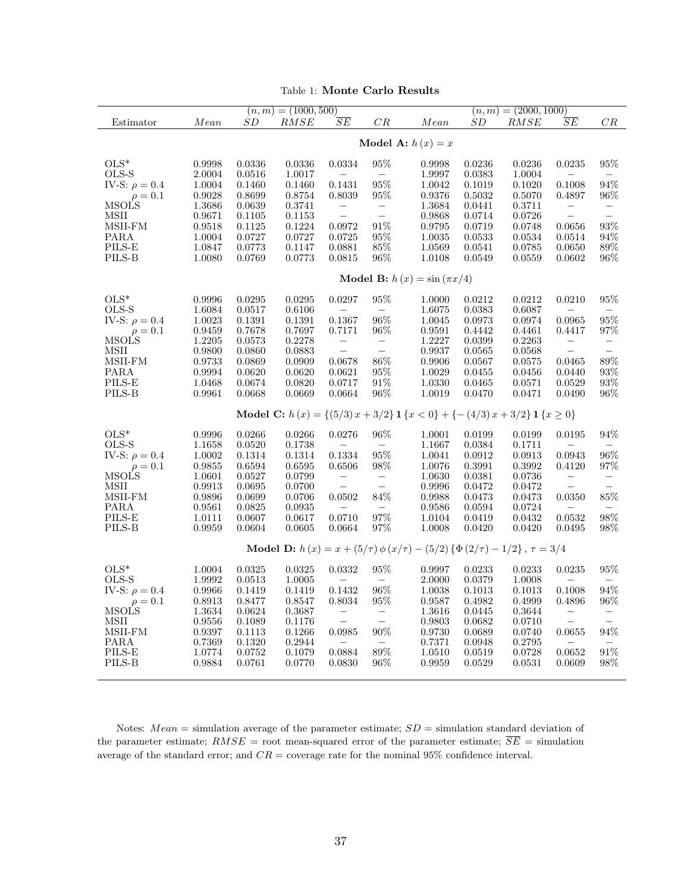| Table 1: Monte Carlo Results |
|------------------------------|
|                              |

<span id="page-37-0"></span>

|                                                                                        |                                 | $(n,m) = (1000, 500)$ |                  |                                    |                                               |                                                                                  | $(n,m) = (2000, 1000)$ |                        |                           |                          |
|----------------------------------------------------------------------------------------|---------------------------------|-----------------------|------------------|------------------------------------|-----------------------------------------------|----------------------------------------------------------------------------------|------------------------|------------------------|---------------------------|--------------------------|
| Estimator                                                                              | Mean                            | SD                    | RMSE             | $\overline{SE}$                    | CR                                            | Mean                                                                             | SD                     | RMSE                   | SE                        | CR                       |
|                                                                                        |                                 |                       |                  |                                    |                                               |                                                                                  |                        |                        |                           |                          |
|                                                                                        | Model A: $h(x) = x$             |                       |                  |                                    |                                               |                                                                                  |                        |                        |                           |                          |
| $OLS^*$                                                                                | 0.9998                          | 0.0336                | 0.0336           | 0.0334                             | $95\%$                                        | 0.9998                                                                           | 0.0236                 | 0.0236                 | 0.0235                    | $95\%$                   |
| OLS-S                                                                                  | 2.0004                          | 0.0516                | 1.0017           |                                    | $\overline{\phantom{m}}$                      | 1.9997                                                                           | 0.0383                 | 1.0004                 |                           |                          |
| IV-S: $\rho = 0.4$                                                                     | 1.0004                          | 0.1460                | 0.1460           | 0.1431                             | 95%                                           | 1.0042                                                                           | 0.1019                 | 0.1020                 | 0.1008                    | 94%                      |
| $\rho = 0.1$<br>MSOLS                                                                  | 0.9028                          | 0.8699                | 0.8754           | 0.8039                             | 95%                                           | 0.9376                                                                           | 0.5032                 | 0.5070                 | 0.4897                    | 96%                      |
| <b>MSII</b>                                                                            | 1.3686<br>0.9671                | 0.0639<br>0.1105      | 0.3741<br>0.1153 | $\qquad \qquad -$                  | $\qquad \qquad -$<br>$\overline{\phantom{0}}$ | 1.3684<br>0.9868                                                                 | 0.0441<br>0.0714       | 0.3711<br>0.0726       |                           | $\equiv$                 |
| MSII-FM                                                                                | 0.9518                          | 0.1125                | 0.1224           | 0.0972                             | $91\%$                                        | 0.9795                                                                           | 0.0719                 | 0.0748                 | 0.0656                    | $93\%$                   |
| PARA                                                                                   | 1.0004                          | 0.0727                | 0.0727           | 0.0725                             | $95\%$                                        | 1.0035                                                                           | 0.0533                 | 0.0534                 | 0.0514                    | 94%                      |
| PILS-E                                                                                 | 1.0847                          | 0.0773                | 0.1147           | 0.0881                             | $85\%$                                        | 1.0569                                                                           | 0.0541                 | 0.0785                 | 0.0650                    | $89\%$                   |
| PILS-B                                                                                 | 1.0080                          | 0.0769                | 0.0773           | 0.0815                             | 96%                                           | 1.0108                                                                           | 0.0549                 | 0.0559                 | 0.0602                    | 96%                      |
|                                                                                        | Model B: $h(x) = \sin(\pi x/4)$ |                       |                  |                                    |                                               |                                                                                  |                        |                        |                           |                          |
| $OLS^*$                                                                                |                                 | 0.0295                | 0.0295           |                                    | 95%                                           |                                                                                  |                        |                        |                           | 95%                      |
| OLS-S                                                                                  | 0.9996<br>1.6084                | 0.0517                | 0.6106           | 0.0297<br>$\overline{\phantom{0}}$ | $\overline{\phantom{m}}$                      | 1.0000<br>1.6075                                                                 | 0.0212<br>0.0383       | 0.0212<br>0.6087       | 0.0210                    | $\overline{\phantom{a}}$ |
| IV-S: $\rho = 0.4$                                                                     | 1.0023                          | 0.1391                | 0.1391           | 0.1367                             | 96%                                           | 1.0045                                                                           | 0.0973                 | 0.0974                 | 0.0965                    | 95%                      |
| $\rho = 0.1$                                                                           | 0.9459                          | 0.7678                | 0.7697           | 0.7171                             | 96%                                           | 0.9591                                                                           | 0.4442                 | 0.4461                 | 0.4417                    | 97%                      |
| <b>MSOLS</b>                                                                           | 1.2205                          | 0.0573                | 0.2278           | $\frac{1}{2}$                      | $\bar{a}$                                     | 1.2227                                                                           | 0.0399                 | 0.2263                 | $\overline{\phantom{m}}$  | $\qquad \qquad -$        |
| <b>MSII</b>                                                                            | 0.9800                          | 0.0860                | 0.0883           |                                    |                                               | 0.9937                                                                           | 0.0565                 | 0.0568                 | $\overline{a}$            |                          |
| MSII-FM                                                                                | 0.9733                          | 0.0869                | 0.0909           | 0.0678                             | 86\%                                          | 0.9906                                                                           | 0.0567                 | 0.0575                 | 0.0465                    | 89%                      |
| PARA                                                                                   | 0.9994                          | 0.0620                | 0.0620           | 0.0621                             | $95\%$                                        | 1.0029                                                                           | 0.0455                 | 0.0456                 | 0.0440                    | $93\%$                   |
| PILS-E<br>PILS-B                                                                       | 1.0468<br>0.9961                | 0.0674<br>0.0668      | 0.0820<br>0.0669 | 0.0717<br>0.0664                   | 91\%<br>$96\%$                                | 1.0330<br>1.0019                                                                 | 0.0465<br>0.0470       | 0.0571<br>0.0471       | 0.0529<br>0.0490          | 93%<br>96%               |
|                                                                                        |                                 |                       |                  |                                    |                                               |                                                                                  |                        |                        |                           |                          |
|                                                                                        |                                 |                       |                  |                                    |                                               | Model C: $h(x) = \{(5/3)x + 3/2\} 1 \{x < 0\} + \{-(4/3)x + 3/2\} 1 \{x \ge 0\}$ |                        |                        |                           |                          |
| $OLS^*$                                                                                | 0.9996                          | 0.0266                | 0.0266           | 0.0276                             | 96%                                           | 1.0001                                                                           | 0.0199                 | 0.0199                 | 0.0195                    | 94%                      |
| OLS-S                                                                                  | 1.1658                          | 0.0520                | 0.1738           |                                    | $\overline{\phantom{m}}$                      | 1.1667                                                                           | 0.0384                 | 0.1711                 |                           |                          |
| IV-S: $\rho = 0.4$                                                                     | 1.0002                          | 0.1314                | 0.1314           | 0.1334                             | $95\%$                                        | 1.0041                                                                           | 0.0912                 | 0.0913                 | 0.0943                    | 96%                      |
| $\rho = 0.1$<br><b>MSOLS</b>                                                           | 0.9855<br>1.0601                | 0.6594<br>0.0527      | 0.6595<br>0.0799 | 0.6506                             | $98\%$                                        | 1.0076<br>1.0630                                                                 | 0.3991<br>0.0381       | $\,0.3992\,$<br>0.0736 | 0.4120                    | $97\%$                   |
| MSII                                                                                   | 0.9913                          | 0.0695                | 0.0700           | $\overline{\phantom{a}}$           | $\overline{\phantom{a}}$                      | 0.9996                                                                           | 0.0472                 | 0.0472                 | $\overline{\phantom{a}}$  | $\equiv$                 |
| MSII-FM                                                                                | 0.9896                          | 0.0699                | 0.0706           | 0.0502                             | 84%                                           | 0.9988                                                                           | 0.0473                 | $\,0.0473\,$           | 0.0350                    | 85%                      |
| PARA                                                                                   | 0.9561                          | 0.0825                | 0.0935           |                                    |                                               | 0.9586                                                                           | 0.0594                 | 0.0724                 |                           |                          |
| $PILS-E$                                                                               | 1.0111                          | 0.0607                | 0.0617           | 0.0710                             | $97\%$                                        | 1.0104                                                                           | 0.0419                 | 0.0432                 | 0.0532                    | 98%                      |
| PILS-B                                                                                 | 0.9959                          | 0.0604                | 0.0605           | 0.0664                             | 97%                                           | 1.0008                                                                           | 0.0420                 | 0.0420                 | 0.0495                    | 98%                      |
| Model D: $h(x) = x + (5/\tau) \phi(x/\tau) - (5/2) \{\Phi(2/\tau) - 1/2\}, \tau = 3/4$ |                                 |                       |                  |                                    |                                               |                                                                                  |                        |                        |                           |                          |
| $OLS^*$                                                                                | 1.0004                          | 0.0325                | 0.0325           | 0.0332                             | 95%                                           | 0.9997                                                                           | 0.0233                 | 0.0233                 | 0.0235                    | 95%                      |
| OLS-S                                                                                  | 1.9992                          | 0.0513                | 1.0005           | $\equiv$                           | $\overline{\phantom{m}}$                      | 2.0000                                                                           | 0.0379                 | 1.0008                 |                           | $\overline{\phantom{0}}$ |
| IV-S: $\rho = 0.4$                                                                     | 0.9966                          | 0.1419                | 0.1419           | 0.1432                             | 96%                                           | 1.0038                                                                           | 0.1013                 | 0.1013                 | 0.1008                    | 94%                      |
| $\rho = 0.1$                                                                           | 0.8913                          | 0.8477                | 0.8547           | 0.8034                             | $95\%$                                        | 0.9587                                                                           | 0.4982                 | 0.4999                 | 0.4896                    | 96%                      |
| MSOLS                                                                                  | 1.3634                          | 0.0624                | 0.3687           | $\overline{\phantom{a}}$           | $\overline{\phantom{a}}$                      | 1.3616                                                                           | 0.0445                 | 0.3644                 | $\equiv$<br>$\frac{1}{2}$ | $\frac{1}{1}$            |
| <b>MSII</b>                                                                            | 0.9556<br>0.9397                | 0.1089<br>0.1113      | 0.1176<br>0.1266 | 0.0985                             | 90%                                           | ${0.9803}$<br>0.9730                                                             | 0.0682<br>0.0689       | 0.0710                 | 0.0655                    | 94%                      |
| MSII-FM<br>PARA                                                                        | 0.7369                          | 0.1320                | 0.2944           |                                    | $\overline{\phantom{a}}$                      | 0.7371                                                                           | 0.0948                 | 0.0740<br>0.2795       |                           | $\overline{\phantom{0}}$ |
| PILS-E                                                                                 | 1.0774                          | 0.0752                | 0.1079           | 0.0884                             | $89\%$                                        | 1.0510                                                                           | 0.0519                 | 0.0728                 | 0.0652                    | 91%                      |
| PILS-B                                                                                 | 0.9884                          | 0.0761                | 0.0770           | 0.0830                             | $96\%$                                        | 0.9959                                                                           | 0.0529                 | 0.0531                 | 0.0609                    | 98\%                     |
|                                                                                        |                                 |                       |                  |                                    |                                               |                                                                                  |                        |                        |                           |                          |

Notes:  $Mean =$  simulation average of the parameter estimate;  $SD =$  simulation standard deviation of the parameter estimate;  $RMSE =$  root mean-squared error of the parameter estimate;  $\overline{SE}$  = simulation average of the standard error; and  $CR =$  coverage rate for the nominal 95% confidence interval.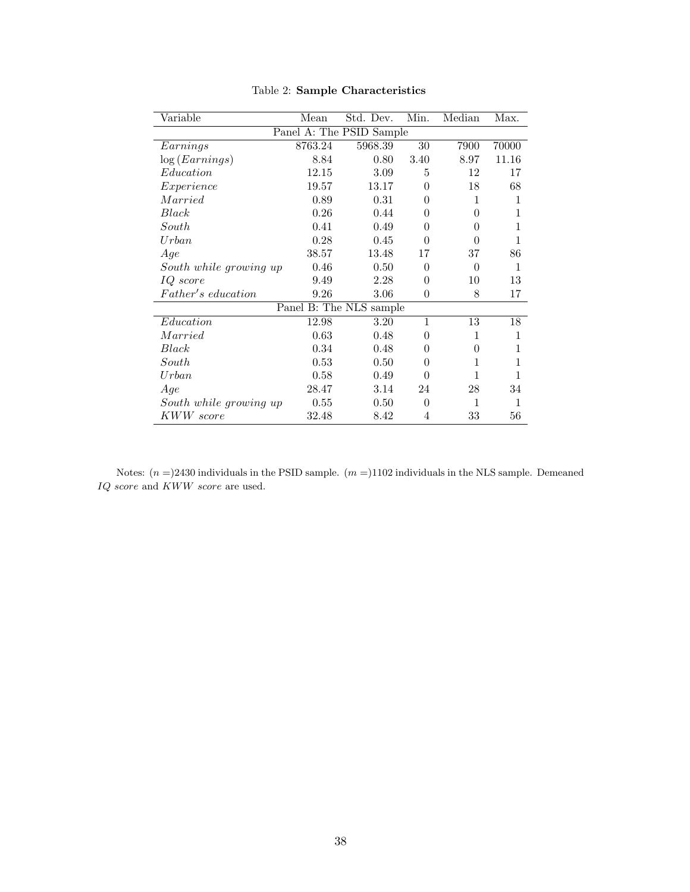<span id="page-38-0"></span>

| Variable                                    | Mean    | Std. Dev. | Min.           | Median       | Max.         |  |  |  |
|---------------------------------------------|---------|-----------|----------------|--------------|--------------|--|--|--|
| Panel A: The PSID Sample                    |         |           |                |              |              |  |  |  |
| Earnings                                    | 8763.24 | 5968.39   | 30             | 7900         | 70000        |  |  |  |
| log (Earnings)                              | 8.84    | 0.80      | 3.40           | 8.97         | 11.16        |  |  |  |
| Education                                   | 12.15   | 3.09      | 5              | 12           | 17           |  |  |  |
| Experience                                  | 19.57   | 13.17     | $\overline{0}$ | 18           | 68           |  |  |  |
| Married                                     | 0.89    | 0.31      | 0              | 1            | 1            |  |  |  |
| Black                                       | 0.26    | 0.44      | 0              | $\theta$     | 1            |  |  |  |
| South                                       | 0.41    | 0.49      | $\overline{0}$ | 0            | 1            |  |  |  |
| $U$ rban                                    | 0.28    | 0.45      | $\theta$       | $\theta$     | 1            |  |  |  |
| Age                                         | 38.57   | 13.48     | 17             | 37           | 86           |  |  |  |
| South while growing up                      | 0.46    | 0.50      | $\overline{0}$ | $\theta$     | 1            |  |  |  |
| IQ score                                    | 9.49    | 2.28      | $\theta$       | 10           | 13           |  |  |  |
| Father's education                          | 9.26    | 3.06      | $\theta$       | 8            | 17           |  |  |  |
| $\overline{\text{Panel}}$ B: The NLS sample |         |           |                |              |              |  |  |  |
| Education                                   | 12.98   | 3.20      | $\mathbf{1}$   | 13           | 18           |  |  |  |
| Married                                     | 0.63    | 0.48      | $\theta$       | 1            | $\mathbf{1}$ |  |  |  |
| Black                                       | 0.34    | 0.48      | 0              | $\theta$     | 1            |  |  |  |
| South                                       | 0.53    | 0.50      | $\overline{0}$ | 1            | 1            |  |  |  |
| $U$ rban                                    | 0.58    | 0.49      | $\theta$       | 1            | 1            |  |  |  |
| Age                                         | 28.47   | 3.14      | 24             | 28           | 34           |  |  |  |
| South while growing up                      | 0.55    | 0.50      | $\theta$       | $\mathbf{1}$ | 1            |  |  |  |
| KWW score                                   | 32.48   | 8.42      | 4              | 33           | 56           |  |  |  |

Table 2: Sample Characteristics

Notes:  $(n =)2430$  individuals in the PSID sample.  $(m =)1102$  individuals in the NLS sample. Demeaned  $IQ\ score$  and  $KWW\ score$  are used.